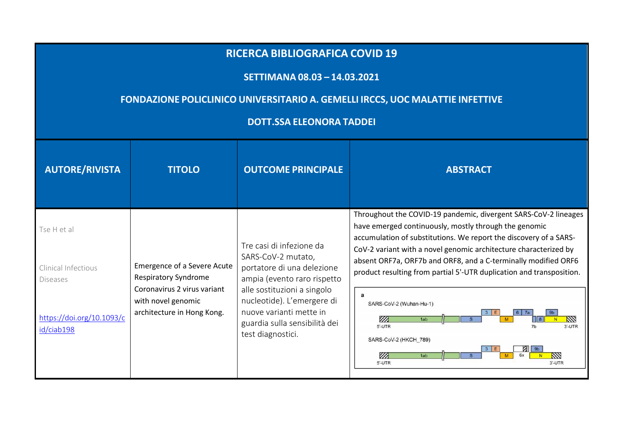## **RICERCA BIBLIOGRAFICA COVID <sup>19</sup>**

## **SETTIMANA 08.03 – 14.03.2021**

## **FONDAZIONE POLICLINICO UNIVERSITARIO A. GEMELLI IRCCS, UOC MALATTIE INFETTIVE**

## **DOTT.SSA ELEONORA TADDEI**

| <b>AUTORE/RIVISTA</b>                                 | <b>TITOLO</b>                                                                   | <b>OUTCOME PRINCIPALE</b>                                                                                                                  | <b>ABSTRACT</b>                                                                                                                                                                                                                                                                                                                                                                                             |
|-------------------------------------------------------|---------------------------------------------------------------------------------|--------------------------------------------------------------------------------------------------------------------------------------------|-------------------------------------------------------------------------------------------------------------------------------------------------------------------------------------------------------------------------------------------------------------------------------------------------------------------------------------------------------------------------------------------------------------|
| Tse H et al<br>Clinical Infectious<br><b>Diseases</b> | Emergence of a Severe Acute<br><b>Respiratory Syndrome</b>                      | Tre casi di infezione da<br>SARS-CoV-2 mutato,<br>portatore di una delezione<br>ampia (evento raro rispetto                                | Throughout the COVID-19 pandemic, divergent SARS-CoV-2 lineages<br>have emerged continuously, mostly through the genomic<br>accumulation of substitutions. We report the discovery of a SARS-<br>CoV-2 variant with a novel genomic architecture characterized by<br>absent ORF7a, ORF7b and ORF8, and a C-terminally modified ORF6<br>product resulting from partial 5'-UTR duplication and transposition. |
| https://doi.org/10.1093/c<br>id/ciab198               | Coronavirus 2 virus variant<br>with novel genomic<br>architecture in Hong Kong. | alle sostituzioni a singolo<br>nucleotide). L'emergere di<br>nuove varianti mette in<br>guardia sulla sensibilità dei<br>test diagnostici. | a<br>SARS-CoV-2 (Wuhan-Hu-1)<br>V A<br>1ab<br>5'-UTR<br>$3'$ -UTR<br>SARS-CoV-2 (HKCH 789)<br>6x<br>$\mathbb{Z}$<br>1ab<br>5'-UTR<br>$3'$ -UTR                                                                                                                                                                                                                                                              |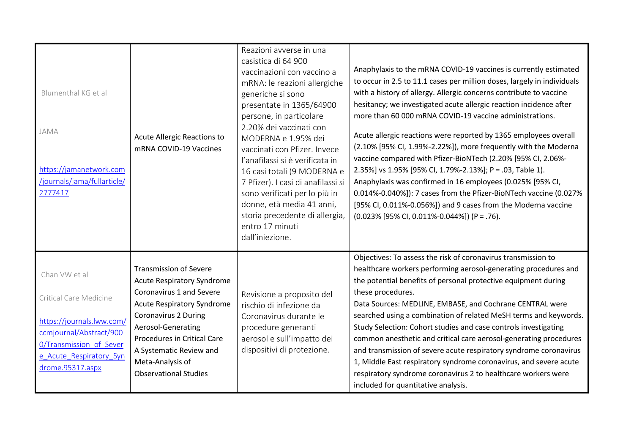| Blumenthal KG et al<br>JAMA<br>https://jamanetwork.com<br>/journals/jama/fullarticle/<br>2777417                                                                          | Acute Allergic Reactions to<br>mRNA COVID-19 Vaccines                                                                                                                                                                                                                                                  | Reazioni avverse in una<br>casistica di 64 900<br>vaccinazioni con vaccino a<br>mRNA: le reazioni allergiche<br>generiche si sono<br>presentate in 1365/64900<br>persone, in particolare<br>2.20% dei vaccinati con<br>MODERNA e 1.95% dei<br>vaccinati con Pfizer. Invece<br>l'anafilassi si è verificata in<br>16 casi totali (9 MODERNA e<br>7 Pfizer). I casi di anafilassi si<br>sono verificati per lo più in<br>donne, età media 41 anni,<br>storia precedente di allergia,<br>entro 17 minuti<br>dall'iniezione. | Anaphylaxis to the mRNA COVID-19 vaccines is currently estimated<br>to occur in 2.5 to 11.1 cases per million doses, largely in individuals<br>with a history of allergy. Allergic concerns contribute to vaccine<br>hesitancy; we investigated acute allergic reaction incidence after<br>more than 60 000 mRNA COVID-19 vaccine administrations.<br>Acute allergic reactions were reported by 1365 employees overall<br>(2.10% [95% CI, 1.99%-2.22%]), more frequently with the Moderna<br>vaccine compared with Pfizer-BioNTech (2.20% [95% CI, 2.06%-<br>2.35%] vs 1.95% [95% CI, 1.79%-2.13%]; P = .03, Table 1).<br>Anaphylaxis was confirmed in 16 employees (0.025% [95% CI,<br>0.014%-0.040%]): 7 cases from the Pfizer-BioNTech vaccine (0.027%<br>[95% CI, 0.011%-0.056%]) and 9 cases from the Moderna vaccine<br>$(0.023\%$ [95% CI, 0.011%-0.044%]) (P = .76). |
|---------------------------------------------------------------------------------------------------------------------------------------------------------------------------|--------------------------------------------------------------------------------------------------------------------------------------------------------------------------------------------------------------------------------------------------------------------------------------------------------|--------------------------------------------------------------------------------------------------------------------------------------------------------------------------------------------------------------------------------------------------------------------------------------------------------------------------------------------------------------------------------------------------------------------------------------------------------------------------------------------------------------------------|------------------------------------------------------------------------------------------------------------------------------------------------------------------------------------------------------------------------------------------------------------------------------------------------------------------------------------------------------------------------------------------------------------------------------------------------------------------------------------------------------------------------------------------------------------------------------------------------------------------------------------------------------------------------------------------------------------------------------------------------------------------------------------------------------------------------------------------------------------------------------|
| Chan VW et al<br>Critical Care Medicine<br>https://journals.lww.com/<br>ccmjournal/Abstract/900<br>0/Transmission of Sever<br>e Acute Respiratory Syn<br>drome.95317.aspx | <b>Transmission of Severe</b><br><b>Acute Respiratory Syndrome</b><br>Coronavirus 1 and Severe<br>Acute Respiratory Syndrome<br><b>Coronavirus 2 During</b><br>Aerosol-Generating<br><b>Procedures in Critical Care</b><br>A Systematic Review and<br>Meta-Analysis of<br><b>Observational Studies</b> | Revisione a proposito del<br>rischio di infezione da<br>Coronavirus durante le<br>procedure generanti<br>aerosol e sull'impatto dei<br>dispositivi di protezione.                                                                                                                                                                                                                                                                                                                                                        | Objectives: To assess the risk of coronavirus transmission to<br>healthcare workers performing aerosol-generating procedures and<br>the potential benefits of personal protective equipment during<br>these procedures.<br>Data Sources: MEDLINE, EMBASE, and Cochrane CENTRAL were<br>searched using a combination of related MeSH terms and keywords.<br>Study Selection: Cohort studies and case controls investigating<br>common anesthetic and critical care aerosol-generating procedures<br>and transmission of severe acute respiratory syndrome coronavirus<br>1, Middle East respiratory syndrome coronavirus, and severe acute<br>respiratory syndrome coronavirus 2 to healthcare workers were<br>included for quantitative analysis.                                                                                                                            |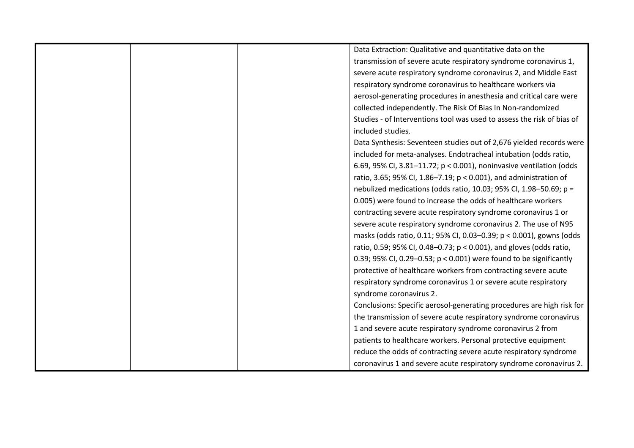| Data Extraction: Qualitative and quantitative data on the              |
|------------------------------------------------------------------------|
| transmission of severe acute respiratory syndrome coronavirus 1,       |
| severe acute respiratory syndrome coronavirus 2, and Middle East       |
| respiratory syndrome coronavirus to healthcare workers via             |
| aerosol-generating procedures in anesthesia and critical care were     |
| collected independently. The Risk Of Bias In Non-randomized            |
| Studies - of Interventions tool was used to assess the risk of bias of |
| included studies.                                                      |
| Data Synthesis: Seventeen studies out of 2,676 yielded records were    |
| included for meta-analyses. Endotracheal intubation (odds ratio,       |
| 6.69, 95% CI, 3.81-11.72; p < 0.001), noninvasive ventilation (odds    |
| ratio, 3.65; 95% Cl, 1.86-7.19; p < 0.001), and administration of      |
| nebulized medications (odds ratio, 10.03; 95% CI, 1.98-50.69; p =      |
| 0.005) were found to increase the odds of healthcare workers           |
| contracting severe acute respiratory syndrome coronavirus 1 or         |
| severe acute respiratory syndrome coronavirus 2. The use of N95        |
| masks (odds ratio, 0.11; 95% CI, 0.03-0.39; p < 0.001), gowns (odds    |
| ratio, 0.59; 95% CI, 0.48–0.73; p < 0.001), and gloves (odds ratio,    |
| 0.39; 95% CI, 0.29-0.53; p < 0.001) were found to be significantly     |
| protective of healthcare workers from contracting severe acute         |
| respiratory syndrome coronavirus 1 or severe acute respiratory         |
| syndrome coronavirus 2.                                                |
| Conclusions: Specific aerosol-generating procedures are high risk for  |
| the transmission of severe acute respiratory syndrome coronavirus      |
| 1 and severe acute respiratory syndrome coronavirus 2 from             |
| patients to healthcare workers. Personal protective equipment          |
| reduce the odds of contracting severe acute respiratory syndrome       |
| coronavirus 1 and severe acute respiratory syndrome coronavirus 2.     |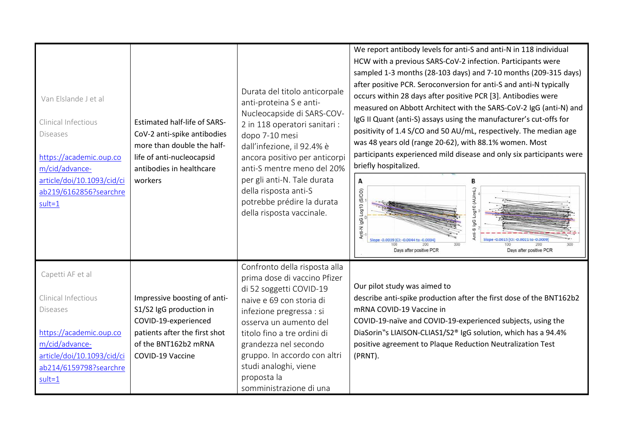| Van Elslande J et al<br>Clinical Infectious<br><b>Diseases</b><br>https://academic.oup.co<br>m/cid/advance-<br>article/doi/10.1093/cid/ci<br>ab219/6162856?searchre<br>$sult = 1$ | <b>Estimated half-life of SARS-</b><br>CoV-2 anti-spike antibodies<br>more than double the half-<br>life of anti-nucleocapsid<br>antibodies in healthcare<br>workers | Durata del titolo anticorpale<br>anti-proteina S e anti-<br>Nucleocapside di SARS-COV-<br>2 in 118 operatori sanitari :<br>dopo 7-10 mesi<br>dall'infezione, il 92.4% è<br>ancora positivo per anticorpi<br>anti-S mentre meno del 20%<br>per gli anti-N. Tale durata<br>della risposta anti-S<br>potrebbe prédire la durata<br>della risposta vaccinale. | We report antibody levels for anti-S and anti-N in 118 individual<br>HCW with a previous SARS-CoV-2 infection. Participants were<br>sampled 1-3 months (28-103 days) and 7-10 months (209-315 days)<br>after positive PCR. Seroconversion for anti-S and anti-N typically<br>occurs within 28 days after positive PCR [3]. Antibodies were<br>measured on Abbott Architect with the SARS-CoV-2 IgG (anti-N) and<br>IgG II Quant (anti-S) assays using the manufacturer's cut-offs for<br>positivity of 1.4 S/CO and 50 AU/mL, respectively. The median age<br>was 48 years old (range 20-62), with 88.1% women. Most<br>participants experienced mild disease and only six participants were<br>briefly hospitalized.<br>А<br>B<br>0 (AU/mL)<br>Anti-N IgG Log10 (S/CO)<br>Slope-0.0039 [CI: -0.0044 to -0.0034<br>Days after positive PCR<br>Days after positive PCR |
|-----------------------------------------------------------------------------------------------------------------------------------------------------------------------------------|----------------------------------------------------------------------------------------------------------------------------------------------------------------------|-----------------------------------------------------------------------------------------------------------------------------------------------------------------------------------------------------------------------------------------------------------------------------------------------------------------------------------------------------------|-----------------------------------------------------------------------------------------------------------------------------------------------------------------------------------------------------------------------------------------------------------------------------------------------------------------------------------------------------------------------------------------------------------------------------------------------------------------------------------------------------------------------------------------------------------------------------------------------------------------------------------------------------------------------------------------------------------------------------------------------------------------------------------------------------------------------------------------------------------------------|
| Capetti AF et al<br>Clinical Infectious<br><b>Diseases</b><br>https://academic.oup.co<br>m/cid/advance-<br>article/doi/10.1093/cid/ci<br>ab214/6159798?searchre<br>$sult = 1$     | Impressive boosting of anti-<br>S1/S2 IgG production in<br>COVID-19-experienced<br>patients after the first shot<br>of the BNT162b2 mRNA<br>COVID-19 Vaccine         | Confronto della risposta alla<br>prima dose di vaccino Pfizer<br>di 52 soggetti COVID-19<br>naive e 69 con storia di<br>infezione pregressa : si<br>osserva un aumento del<br>titolo fino a tre ordini di<br>grandezza nel secondo<br>gruppo. In accordo con altri<br>studi analoghi, viene<br>proposta la<br>somministrazione di una                     | Our pilot study was aimed to<br>describe anti-spike production after the first dose of the BNT162b2<br>mRNA COVID-19 Vaccine in<br>COVID-19-naïve and COVID-19-experienced subjects, using the<br>DiaSorin "s LIAISON-CLIAS1/S2® IgG solution, which has a 94.4%<br>positive agreement to Plaque Reduction Neutralization Test<br>(PRNT).                                                                                                                                                                                                                                                                                                                                                                                                                                                                                                                             |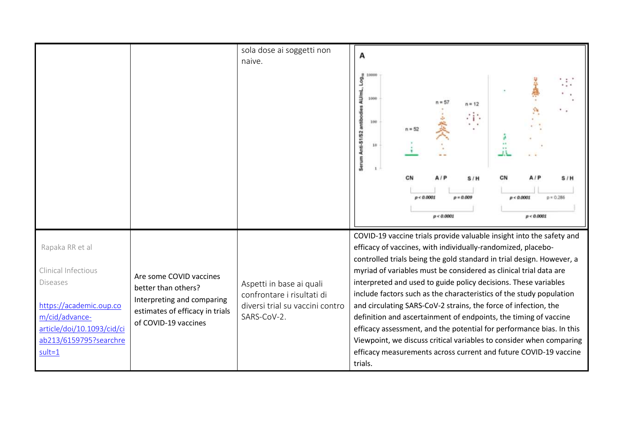|                                                                                                                                                                              |                                                                                                                                         | sola dose ai soggetti non<br>naive.                                                                      | А<br>AU/mL<br>1000<br>$n = 12$<br>antib<br>100<br>Anti-51/52<br>18<br>ţ<br>š<br>$p = 0.009$<br>p < 0.0001<br>p < 0.0001<br>$p = 0.28$<br>p < 0.0001<br>p < 0.0001                                                                                                                                                                                                                                                                                                                                                                                                                                                                                                                                                                                                                                 |
|------------------------------------------------------------------------------------------------------------------------------------------------------------------------------|-----------------------------------------------------------------------------------------------------------------------------------------|----------------------------------------------------------------------------------------------------------|---------------------------------------------------------------------------------------------------------------------------------------------------------------------------------------------------------------------------------------------------------------------------------------------------------------------------------------------------------------------------------------------------------------------------------------------------------------------------------------------------------------------------------------------------------------------------------------------------------------------------------------------------------------------------------------------------------------------------------------------------------------------------------------------------|
| Rapaka RR et al<br>Clinical Infectious<br><b>Diseases</b><br>https://academic.oup.co<br>m/cid/advance-<br>article/doi/10.1093/cid/ci<br>ab213/6159795?searchre<br>$sult = 1$ | Are some COVID vaccines<br>better than others?<br>Interpreting and comparing<br>estimates of efficacy in trials<br>of COVID-19 vaccines | Aspetti in base ai quali<br>confrontare i risultati di<br>diversi trial su vaccini contro<br>SARS-CoV-2. | COVID-19 vaccine trials provide valuable insight into the safety and<br>efficacy of vaccines, with individually-randomized, placebo-<br>controlled trials being the gold standard in trial design. However, a<br>myriad of variables must be considered as clinical trial data are<br>interpreted and used to guide policy decisions. These variables<br>include factors such as the characteristics of the study population<br>and circulating SARS-CoV-2 strains, the force of infection, the<br>definition and ascertainment of endpoints, the timing of vaccine<br>efficacy assessment, and the potential for performance bias. In this<br>Viewpoint, we discuss critical variables to consider when comparing<br>efficacy measurements across current and future COVID-19 vaccine<br>trials. |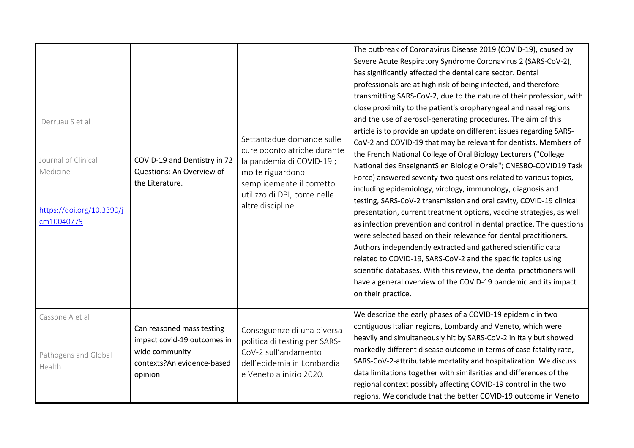| Derruau S et al<br>Journal of Clinical<br>Medicine<br>https://doi.org/10.3390/j<br>cm10040779 | COVID-19 and Dentistry in 72<br>Questions: An Overview of<br>the Literature.                                        | Settantadue domande sulle<br>cure odontoiatriche durante<br>la pandemia di COVID-19 ;<br>molte riguardono<br>semplicemente il corretto<br>utilizzo di DPI, come nelle<br>altre discipline. | The outbreak of Coronavirus Disease 2019 (COVID-19), caused by<br>Severe Acute Respiratory Syndrome Coronavirus 2 (SARS-CoV-2),<br>has significantly affected the dental care sector. Dental<br>professionals are at high risk of being infected, and therefore<br>transmitting SARS-CoV-2, due to the nature of their profession, with<br>close proximity to the patient's oropharyngeal and nasal regions<br>and the use of aerosol-generating procedures. The aim of this<br>article is to provide an update on different issues regarding SARS-<br>CoV-2 and COVID-19 that may be relevant for dentists. Members of<br>the French National College of Oral Biology Lecturers ("College<br>National des EnseignantS en Biologie Orale"; CNESBO-COVID19 Task<br>Force) answered seventy-two questions related to various topics,<br>including epidemiology, virology, immunology, diagnosis and<br>testing, SARS-CoV-2 transmission and oral cavity, COVID-19 clinical<br>presentation, current treatment options, vaccine strategies, as well<br>as infection prevention and control in dental practice. The questions<br>were selected based on their relevance for dental practitioners.<br>Authors independently extracted and gathered scientific data<br>related to COVID-19, SARS-CoV-2 and the specific topics using<br>scientific databases. With this review, the dental practitioners will<br>have a general overview of the COVID-19 pandemic and its impact<br>on their practice. |
|-----------------------------------------------------------------------------------------------|---------------------------------------------------------------------------------------------------------------------|--------------------------------------------------------------------------------------------------------------------------------------------------------------------------------------------|--------------------------------------------------------------------------------------------------------------------------------------------------------------------------------------------------------------------------------------------------------------------------------------------------------------------------------------------------------------------------------------------------------------------------------------------------------------------------------------------------------------------------------------------------------------------------------------------------------------------------------------------------------------------------------------------------------------------------------------------------------------------------------------------------------------------------------------------------------------------------------------------------------------------------------------------------------------------------------------------------------------------------------------------------------------------------------------------------------------------------------------------------------------------------------------------------------------------------------------------------------------------------------------------------------------------------------------------------------------------------------------------------------------------------------------------------------------------------------------------------|
| Cassone A et al<br>Pathogens and Global<br>Health                                             | Can reasoned mass testing<br>impact covid-19 outcomes in<br>wide community<br>contexts?An evidence-based<br>opinion | Conseguenze di una diversa<br>politica di testing per SARS-<br>CoV-2 sull'andamento<br>dell'epidemia in Lombardia<br>e Veneto a inizio 2020.                                               | We describe the early phases of a COVID-19 epidemic in two<br>contiguous Italian regions, Lombardy and Veneto, which were<br>heavily and simultaneously hit by SARS-CoV-2 in Italy but showed<br>markedly different disease outcome in terms of case fatality rate,<br>SARS-CoV-2-attributable mortality and hospitalization. We discuss<br>data limitations together with similarities and differences of the<br>regional context possibly affecting COVID-19 control in the two<br>regions. We conclude that the better COVID-19 outcome in Veneto                                                                                                                                                                                                                                                                                                                                                                                                                                                                                                                                                                                                                                                                                                                                                                                                                                                                                                                                             |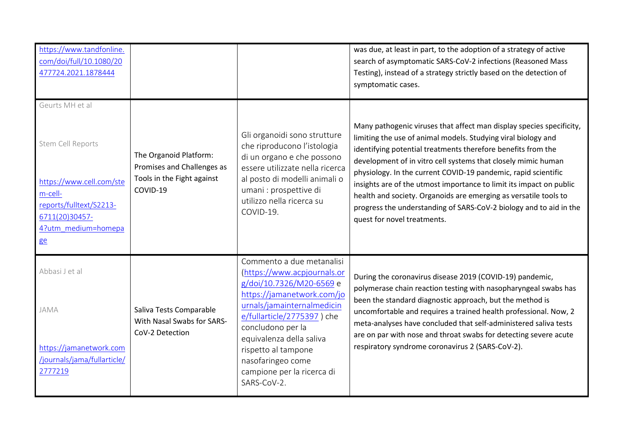| https://www.tandfonline.<br>com/doi/full/10.1080/20<br>477724.2021.1878444                                                                            |                                                                                                |                                                                                                                                                                                                                                                                                                                          | was due, at least in part, to the adoption of a strategy of active<br>search of asymptomatic SARS-CoV-2 infections (Reasoned Mass<br>Testing), instead of a strategy strictly based on the detection of<br>symptomatic cases.                                                                                                                                                                                                                                                                                                                                                            |
|-------------------------------------------------------------------------------------------------------------------------------------------------------|------------------------------------------------------------------------------------------------|--------------------------------------------------------------------------------------------------------------------------------------------------------------------------------------------------------------------------------------------------------------------------------------------------------------------------|------------------------------------------------------------------------------------------------------------------------------------------------------------------------------------------------------------------------------------------------------------------------------------------------------------------------------------------------------------------------------------------------------------------------------------------------------------------------------------------------------------------------------------------------------------------------------------------|
| Geurts MH et al<br>Stem Cell Reports<br>https://www.cell.com/ste<br>m-cell-<br>reports/fulltext/S2213-<br>6711(20)30457-<br>4?utm medium=homepa<br>ge | The Organoid Platform:<br>Promises and Challenges as<br>Tools in the Fight against<br>COVID-19 | Gli organoidi sono strutture<br>che riproducono l'istologia<br>di un organo e che possono<br>essere utilizzate nella ricerca<br>al posto di modelli animali o<br>umani : prospettive di<br>utilizzo nella ricerca su<br>COVID-19.                                                                                        | Many pathogenic viruses that affect man display species specificity,<br>limiting the use of animal models. Studying viral biology and<br>identifying potential treatments therefore benefits from the<br>development of in vitro cell systems that closely mimic human<br>physiology. In the current COVID-19 pandemic, rapid scientific<br>insights are of the utmost importance to limit its impact on public<br>health and society. Organoids are emerging as versatile tools to<br>progress the understanding of SARS-CoV-2 biology and to aid in the<br>quest for novel treatments. |
| Abbasi J et al<br><b>JAMA</b><br>https://jamanetwork.com<br>/journals/jama/fullarticle/<br>2777219                                                    | Saliva Tests Comparable<br>With Nasal Swabs for SARS-<br>CoV-2 Detection                       | Commento a due metanalisi<br>(https://www.acpjournals.or<br>g/doi/10.7326/M20-6569 e<br>https://jamanetwork.com/jo<br>urnals/jamainternalmedicin<br>e/fullarticle/2775397) che<br>concludono per la<br>equivalenza della saliva<br>rispetto al tampone<br>nasofaringeo come<br>campione per la ricerca di<br>SARS-CoV-2. | During the coronavirus disease 2019 (COVID-19) pandemic,<br>polymerase chain reaction testing with nasopharyngeal swabs has<br>been the standard diagnostic approach, but the method is<br>uncomfortable and requires a trained health professional. Now, 2<br>meta-analyses have concluded that self-administered saliva tests<br>are on par with nose and throat swabs for detecting severe acute<br>respiratory syndrome coronavirus 2 (SARS-CoV-2).                                                                                                                                  |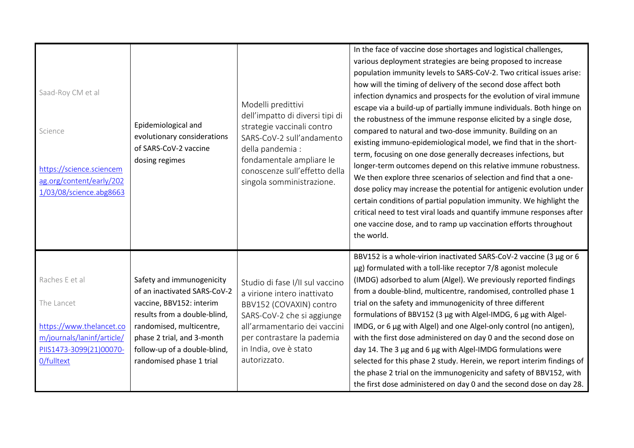| Saad-Roy CM et al<br>Science<br>https://science.sciencem<br>ag.org/content/early/202<br>1/03/08/science.abg8663                 | Epidemiological and<br>evolutionary considerations<br>of SARS-CoV-2 vaccine<br>dosing regimes                                                                                                                                               | Modelli predittivi<br>dell'impatto di diversi tipi di<br>strategie vaccinali contro<br>SARS-CoV-2 sull'andamento<br>della pandemia :<br>fondamentale ampliare le<br>conoscenze sull'effetto della<br>singola somministrazione. | In the face of vaccine dose shortages and logistical challenges,<br>various deployment strategies are being proposed to increase<br>population immunity levels to SARS-CoV-2. Two critical issues arise:<br>how will the timing of delivery of the second dose affect both<br>infection dynamics and prospects for the evolution of viral immune<br>escape via a build-up of partially immune individuals. Both hinge on<br>the robustness of the immune response elicited by a single dose,<br>compared to natural and two-dose immunity. Building on an<br>existing immuno-epidemiological model, we find that in the short-<br>term, focusing on one dose generally decreases infections, but<br>longer-term outcomes depend on this relative immune robustness.<br>We then explore three scenarios of selection and find that a one-<br>dose policy may increase the potential for antigenic evolution under<br>certain conditions of partial population immunity. We highlight the<br>critical need to test viral loads and quantify immune responses after<br>one vaccine dose, and to ramp up vaccination efforts throughout<br>the world. |
|---------------------------------------------------------------------------------------------------------------------------------|---------------------------------------------------------------------------------------------------------------------------------------------------------------------------------------------------------------------------------------------|--------------------------------------------------------------------------------------------------------------------------------------------------------------------------------------------------------------------------------|---------------------------------------------------------------------------------------------------------------------------------------------------------------------------------------------------------------------------------------------------------------------------------------------------------------------------------------------------------------------------------------------------------------------------------------------------------------------------------------------------------------------------------------------------------------------------------------------------------------------------------------------------------------------------------------------------------------------------------------------------------------------------------------------------------------------------------------------------------------------------------------------------------------------------------------------------------------------------------------------------------------------------------------------------------------------------------------------------------------------------------------------------|
| Raches E et al<br>The Lancet<br>https://www.thelancet.co<br>m/journals/laninf/article/<br>PIIS1473-3099(21)00070-<br>0/fulltext | Safety and immunogenicity<br>of an inactivated SARS-CoV-2<br>vaccine, BBV152: interim<br>results from a double-blind,<br>randomised, multicentre,<br>phase 2 trial, and 3-month<br>follow-up of a double-blind,<br>randomised phase 1 trial | Studio di fase I/II sul vaccino<br>a virione intero inattivato<br>BBV152 (COVAXIN) contro<br>SARS-CoV-2 che si aggiunge<br>all'armamentario dei vaccini<br>per contrastare la pademia<br>in India, ove è stato<br>autorizzato. | BBV152 is a whole-virion inactivated SARS-CoV-2 vaccine (3 µg or 6<br>µg) formulated with a toll-like receptor 7/8 agonist molecule<br>(IMDG) adsorbed to alum (Algel). We previously reported findings<br>from a double-blind, multicentre, randomised, controlled phase 1<br>trial on the safety and immunogenicity of three different<br>formulations of BBV152 (3 µg with Algel-IMDG, 6 µg with Algel-<br>IMDG, or 6 µg with Algel) and one Algel-only control (no antigen),<br>with the first dose administered on day 0 and the second dose on<br>day 14. The 3 µg and 6 µg with Algel-IMDG formulations were<br>selected for this phase 2 study. Herein, we report interim findings of<br>the phase 2 trial on the immunogenicity and safety of BBV152, with<br>the first dose administered on day 0 and the second dose on day 28.                                                                                                                                                                                                                                                                                                        |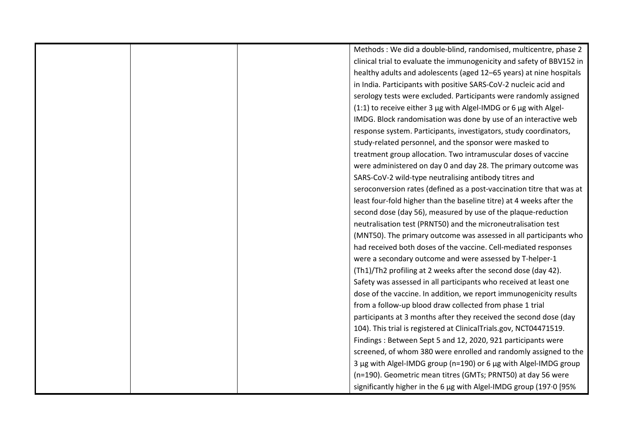|  | Methods : We did a double-blind, randomised, multicentre, phase 2     |
|--|-----------------------------------------------------------------------|
|  | clinical trial to evaluate the immunogenicity and safety of BBV152 in |
|  | healthy adults and adolescents (aged 12-65 years) at nine hospitals   |
|  | in India. Participants with positive SARS-CoV-2 nucleic acid and      |
|  | serology tests were excluded. Participants were randomly assigned     |
|  | (1:1) to receive either 3 µg with Algel-IMDG or 6 µg with Algel-      |
|  | IMDG. Block randomisation was done by use of an interactive web       |
|  | response system. Participants, investigators, study coordinators,     |
|  | study-related personnel, and the sponsor were masked to               |
|  | treatment group allocation. Two intramuscular doses of vaccine        |
|  | were administered on day 0 and day 28. The primary outcome was        |
|  | SARS-CoV-2 wild-type neutralising antibody titres and                 |
|  | seroconversion rates (defined as a post-vaccination titre that was at |
|  | least four-fold higher than the baseline titre) at 4 weeks after the  |
|  | second dose (day 56), measured by use of the plaque-reduction         |
|  | neutralisation test (PRNT50) and the microneutralisation test         |
|  | (MNT50). The primary outcome was assessed in all participants who     |
|  | had received both doses of the vaccine. Cell-mediated responses       |
|  | were a secondary outcome and were assessed by T-helper-1              |
|  | (Th1)/Th2 profiling at 2 weeks after the second dose (day 42).        |
|  | Safety was assessed in all participants who received at least one     |
|  | dose of the vaccine. In addition, we report immunogenicity results    |
|  | from a follow-up blood draw collected from phase 1 trial              |
|  | participants at 3 months after they received the second dose (day     |
|  | 104). This trial is registered at ClinicalTrials.gov, NCT04471519.    |
|  | Findings: Between Sept 5 and 12, 2020, 921 participants were          |
|  | screened, of whom 380 were enrolled and randomly assigned to the      |
|  | 3 µg with Algel-IMDG group (n=190) or 6 µg with Algel-IMDG group      |
|  | (n=190). Geometric mean titres (GMTs; PRNT50) at day 56 were          |
|  | significantly higher in the 6 µg with Algel-IMDG group (197.0 [95%    |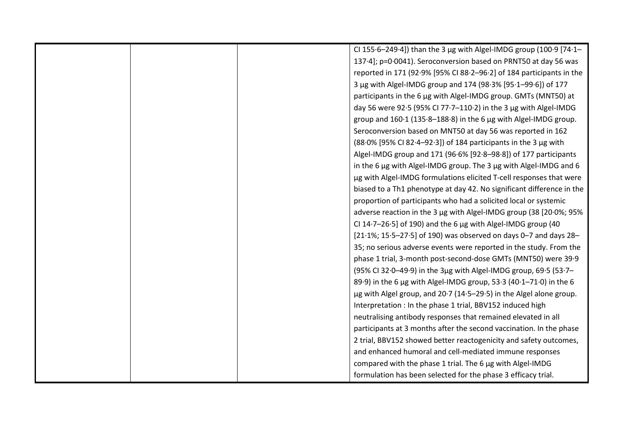|  | CI 155.6-249.4]) than the 3 µg with Algel-IMDG group (100.9 [74.1-    |
|--|-----------------------------------------------------------------------|
|  | 137.4]; p=0.0041). Seroconversion based on PRNT50 at day 56 was       |
|  | reported in 171 (92.9% [95% CI 88.2-96.2] of 184 participants in the  |
|  | 3 µg with Algel-IMDG group and 174 (98.3% [95.1-99.6]) of 177         |
|  | participants in the 6 µg with Algel-IMDG group. GMTs (MNT50) at       |
|  | day 56 were 92.5 (95% CI 77.7-110.2) in the 3 µg with Algel-IMDG      |
|  | group and 160.1 (135.8-188.8) in the 6 µg with Algel-IMDG group.      |
|  | Seroconversion based on MNT50 at day 56 was reported in 162           |
|  | (88.0% [95% CI 82.4–92.3]) of 184 participants in the 3 μg with       |
|  | Algel-IMDG group and 171 (96.6% [92.8-98.8]) of 177 participants      |
|  | in the 6 µg with Algel-IMDG group. The 3 µg with Algel-IMDG and 6     |
|  | µg with Algel-IMDG formulations elicited T-cell responses that were   |
|  | biased to a Th1 phenotype at day 42. No significant difference in the |
|  | proportion of participants who had a solicited local or systemic      |
|  | adverse reaction in the 3 µg with Algel-IMDG group (38 [20.0%; 95%    |
|  | CI 14.7-26.5] of 190) and the 6 µg with Algel-IMDG group (40          |
|  | [21.1%; 15.5-27.5] of 190) was observed on days 0-7 and days 28-      |
|  | 35; no serious adverse events were reported in the study. From the    |
|  | phase 1 trial, 3-month post-second-dose GMTs (MNT50) were 39-9        |
|  | (95% CI 32.0-49.9) in the 3µg with Algel-IMDG group, 69.5 (53.7-      |
|  | 89.9) in the 6 µg with Algel-IMDG group, 53.3 (40.1-71.0) in the 6    |
|  | µg with Algel group, and 20.7 (14.5–29.5) in the Algel alone group.   |
|  | Interpretation : In the phase 1 trial, BBV152 induced high            |
|  | neutralising antibody responses that remained elevated in all         |
|  | participants at 3 months after the second vaccination. In the phase   |
|  | 2 trial, BBV152 showed better reactogenicity and safety outcomes,     |
|  | and enhanced humoral and cell-mediated immune responses               |
|  | compared with the phase 1 trial. The 6 µg with Algel-IMDG             |
|  | formulation has been selected for the phase 3 efficacy trial.         |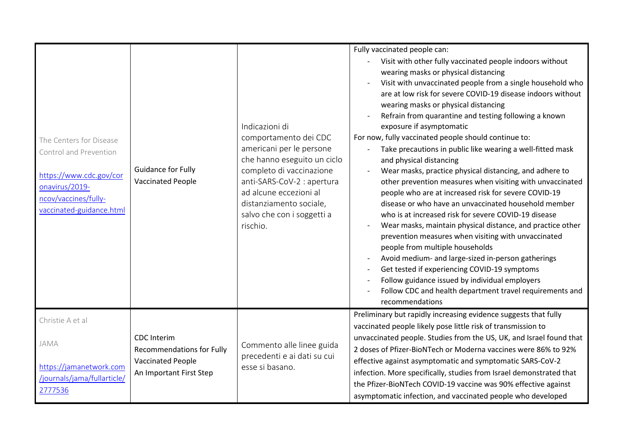| The Centers for Disease<br>Control and Prevention<br>https://www.cdc.gov/cor<br>onavirus/2019-<br>ncov/vaccines/fully-<br>vaccinated-guidance.html | Guidance for Fully<br><b>Vaccinated People</b>                                                                | Indicazioni di<br>comportamento dei CDC<br>americani per le persone<br>che hanno eseguito un ciclo<br>completo di vaccinazione<br>anti-SARS-CoV-2 : apertura<br>ad alcune eccezioni al<br>distanziamento sociale,<br>salvo che con i soggetti a<br>rischio. | Fully vaccinated people can:<br>Visit with other fully vaccinated people indoors without<br>wearing masks or physical distancing<br>Visit with unvaccinated people from a single household who<br>are at low risk for severe COVID-19 disease indoors without<br>wearing masks or physical distancing<br>Refrain from quarantine and testing following a known<br>exposure if asymptomatic<br>For now, fully vaccinated people should continue to:<br>Take precautions in public like wearing a well-fitted mask<br>and physical distancing<br>Wear masks, practice physical distancing, and adhere to<br>other prevention measures when visiting with unvaccinated<br>people who are at increased risk for severe COVID-19<br>disease or who have an unvaccinated household member<br>who is at increased risk for severe COVID-19 disease<br>Wear masks, maintain physical distance, and practice other<br>prevention measures when visiting with unvaccinated<br>people from multiple households<br>Avoid medium- and large-sized in-person gatherings<br>Get tested if experiencing COVID-19 symptoms<br>Follow guidance issued by individual employers<br>Follow CDC and health department travel requirements and<br>recommendations |
|----------------------------------------------------------------------------------------------------------------------------------------------------|---------------------------------------------------------------------------------------------------------------|-------------------------------------------------------------------------------------------------------------------------------------------------------------------------------------------------------------------------------------------------------------|--------------------------------------------------------------------------------------------------------------------------------------------------------------------------------------------------------------------------------------------------------------------------------------------------------------------------------------------------------------------------------------------------------------------------------------------------------------------------------------------------------------------------------------------------------------------------------------------------------------------------------------------------------------------------------------------------------------------------------------------------------------------------------------------------------------------------------------------------------------------------------------------------------------------------------------------------------------------------------------------------------------------------------------------------------------------------------------------------------------------------------------------------------------------------------------------------------------------------------------------|
| Christie A et al<br>JAMA<br>https://jamanetwork.com<br>/journals/jama/fullarticle/<br>2777536                                                      | <b>CDC</b> Interim<br><b>Recommendations for Fully</b><br><b>Vaccinated People</b><br>An Important First Step | Commento alle linee guida<br>precedenti e ai dati su cui<br>esse si basano.                                                                                                                                                                                 | Preliminary but rapidly increasing evidence suggests that fully<br>vaccinated people likely pose little risk of transmission to<br>unvaccinated people. Studies from the US, UK, and Israel found that<br>2 doses of Pfizer-BioNTech or Moderna vaccines were 86% to 92%<br>effective against asymptomatic and symptomatic SARS-CoV-2<br>infection. More specifically, studies from Israel demonstrated that<br>the Pfizer-BioNTech COVID-19 vaccine was 90% effective against<br>asymptomatic infection, and vaccinated people who developed                                                                                                                                                                                                                                                                                                                                                                                                                                                                                                                                                                                                                                                                                              |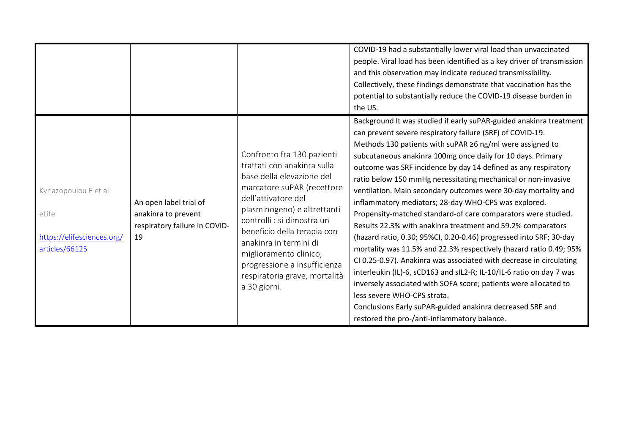|                                                                                |                                                                                      |                                                                                                                                                                                                                                                                                                                                                                              | COVID-19 had a substantially lower viral load than unvaccinated<br>people. Viral load has been identified as a key driver of transmission<br>and this observation may indicate reduced transmissibility.<br>Collectively, these findings demonstrate that vaccination has the<br>potential to substantially reduce the COVID-19 disease burden in<br>the US.<br>Background It was studied if early suPAR-guided anakinra treatment<br>can prevent severe respiratory failure (SRF) of COVID-19.                                                                                                                                                                                                                                                                                                                                                                                                                                                                                                                                  |
|--------------------------------------------------------------------------------|--------------------------------------------------------------------------------------|------------------------------------------------------------------------------------------------------------------------------------------------------------------------------------------------------------------------------------------------------------------------------------------------------------------------------------------------------------------------------|----------------------------------------------------------------------------------------------------------------------------------------------------------------------------------------------------------------------------------------------------------------------------------------------------------------------------------------------------------------------------------------------------------------------------------------------------------------------------------------------------------------------------------------------------------------------------------------------------------------------------------------------------------------------------------------------------------------------------------------------------------------------------------------------------------------------------------------------------------------------------------------------------------------------------------------------------------------------------------------------------------------------------------|
| Kyriazopoulou E et al<br>eLife<br>https://elifesciences.org/<br>articles/66125 | An open label trial of<br>anakinra to prevent<br>respiratory failure in COVID-<br>19 | Confronto fra 130 pazienti<br>trattati con anakinra sulla<br>base della elevazione del<br>marcatore suPAR (recettore<br>dell'attivatore del<br>plasminogeno) e altrettanti<br>controlli : si dimostra un<br>beneficio della terapia con<br>anakinra in termini di<br>miglioramento clinico,<br>progressione a insufficienza<br>respiratoria grave, mortalità<br>a 30 giorni. | Methods 130 patients with suPAR ≥6 ng/ml were assigned to<br>subcutaneous anakinra 100mg once daily for 10 days. Primary<br>outcome was SRF incidence by day 14 defined as any respiratory<br>ratio below 150 mmHg necessitating mechanical or non-invasive<br>ventilation. Main secondary outcomes were 30-day mortality and<br>inflammatory mediators; 28-day WHO-CPS was explored.<br>Propensity-matched standard-of care comparators were studied.<br>Results 22.3% with anakinra treatment and 59.2% comparators<br>(hazard ratio, 0.30; 95%CI, 0.20-0.46) progressed into SRF; 30-day<br>mortality was 11.5% and 22.3% respectively (hazard ratio 0.49; 95%<br>CI 0.25-0.97). Anakinra was associated with decrease in circulating<br>interleukin (IL)-6, sCD163 and sIL2-R; IL-10/IL-6 ratio on day 7 was<br>inversely associated with SOFA score; patients were allocated to<br>less severe WHO-CPS strata.<br>Conclusions Early suPAR-guided anakinra decreased SRF and<br>restored the pro-/anti-inflammatory balance. |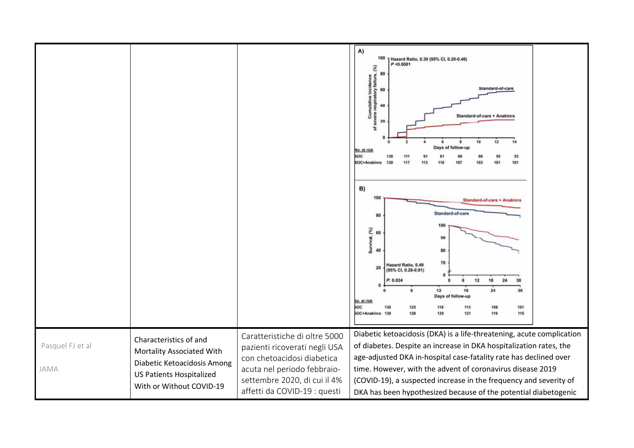|                          |                                                                                                                                                   |                                                                                                                                                                                             | A)<br>100<br>Hazard Ratio, 0.30 (95% CI, 0.20-0.46)<br>P < 0.0001<br>80<br>80<br>Cumulative incidence<br>savere respiratory failure,<br>Standard-of-care<br>60<br>40<br>Standard-of-care + Anakinra<br>20<br>$\overline{5}$<br>10<br>12<br>Days of follow-up<br>No. at risk<br>soc<br>53<br>SOC+Anakinra<br>101<br>117<br>B)<br>100<br>Standard-of-care + Anakinra<br>Standard-of-care<br>80<br>100<br>Survival, (%)<br>60<br>90<br>40<br>80<br>70<br>Hazard Ratio, 0.49<br>20<br>(95% CI, 0.26-0.91)<br>o<br>12<br>24<br>18<br>P: 0.024<br>$\Omega$<br>6<br>30<br>12<br>18<br>24<br>30<br>Days of follow-up<br>No. at risk<br><b>SOC</b><br>118<br>113<br>101<br>130<br>125<br>108<br><b>SOC+Anakinra</b><br>128<br>125<br>121<br>119<br>115<br>130 |
|--------------------------|---------------------------------------------------------------------------------------------------------------------------------------------------|---------------------------------------------------------------------------------------------------------------------------------------------------------------------------------------------|------------------------------------------------------------------------------------------------------------------------------------------------------------------------------------------------------------------------------------------------------------------------------------------------------------------------------------------------------------------------------------------------------------------------------------------------------------------------------------------------------------------------------------------------------------------------------------------------------------------------------------------------------------------------------------------------------------------------------------------------------|
| Pasquel FJ et al<br>JAMA | Characteristics of and<br>Mortality Associated With<br>Diabetic Ketoacidosis Among<br><b>US Patients Hospitalized</b><br>With or Without COVID-19 | Caratteristiche di oltre 5000<br>pazienti ricoverati negli USA<br>con chetoacidosi diabetica<br>acuta nel periodo febbraio-<br>settembre 2020, di cui il 4%<br>affetti da COVID-19 : questi | Diabetic ketoacidosis (DKA) is a life-threatening, acute complication<br>of diabetes. Despite an increase in DKA hospitalization rates, the<br>age-adjusted DKA in-hospital case-fatality rate has declined over<br>time. However, with the advent of coronavirus disease 2019<br>(COVID-19), a suspected increase in the frequency and severity of<br>DKA has been hypothesized because of the potential diabetogenic                                                                                                                                                                                                                                                                                                                               |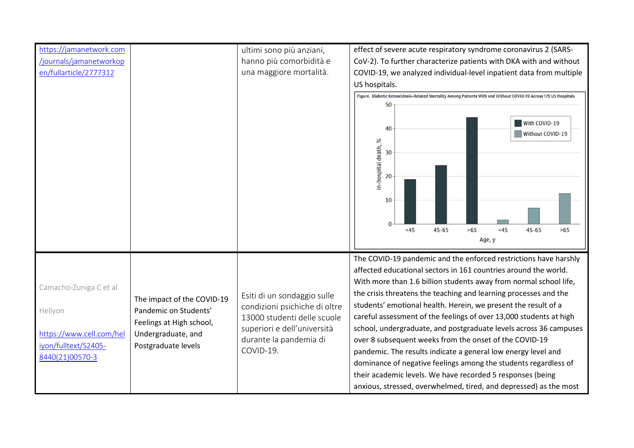| https://jamanetwork.com  |                                           | ultimi sono più anziani,            | effect of severe acute respiratory syndrome coronavirus 2 (SARS-                                                 |
|--------------------------|-------------------------------------------|-------------------------------------|------------------------------------------------------------------------------------------------------------------|
| /journals/jamanetworkop  |                                           | hanno più comorbidità e             | CoV-2). To further characterize patients with DKA with and without                                               |
| en/fullarticle/2777312   |                                           | una maggiore mortalità.             | COVID-19, we analyzed individual-level inpatient data from multiple                                              |
|                          |                                           |                                     | US hospitals.                                                                                                    |
|                          |                                           |                                     | Figure. Diabetic Ketoacidosis-Related Mortality Among Patients With and Without COVID-19 Across 175 US Hospitals |
|                          |                                           |                                     |                                                                                                                  |
|                          |                                           |                                     |                                                                                                                  |
|                          |                                           |                                     | With COVID-19<br>40<br>Without COVID-19                                                                          |
|                          |                                           |                                     |                                                                                                                  |
|                          |                                           |                                     | 30                                                                                                               |
|                          |                                           |                                     | In-hospital death, %                                                                                             |
|                          |                                           |                                     | 20                                                                                                               |
|                          |                                           |                                     |                                                                                                                  |
|                          |                                           |                                     | 10                                                                                                               |
|                          |                                           |                                     |                                                                                                                  |
|                          |                                           |                                     | >65<br>< 45<br><45<br>$45 - 65$<br>$45 - 65$<br>>65                                                              |
|                          |                                           |                                     | Age, y                                                                                                           |
|                          |                                           |                                     |                                                                                                                  |
|                          |                                           |                                     | The COVID-19 pandemic and the enforced restrictions have harshly                                                 |
|                          |                                           |                                     | affected educational sectors in 161 countries around the world.                                                  |
| Camacho-Zuniga C et al   |                                           |                                     | With more than 1.6 billion students away from normal school life,                                                |
|                          | The impact of the COVID-19                | Esiti di un sondaggio sulle         | the crisis threatens the teaching and learning processes and the                                                 |
| Heliyon                  | Pandemic on Students'                     | condizioni psichiche di oltre       | students' emotional health. Herein, we present the result of a                                                   |
|                          | Feelings at High school,                  | 13000 studenti delle scuole         | careful assessment of the feelings of over 13,000 students at high                                               |
| https://www.cell.com/hel | Undergraduate, and<br>Postgraduate levels | superiori e dell'università         | school, undergraduate, and postgraduate levels across 36 campuses                                                |
| iyon/fulltext/S2405-     |                                           | durante la pandemia di<br>COVID-19. | over 8 subsequent weeks from the onset of the COVID-19                                                           |
| 8440(21)00570-3          |                                           |                                     | pandemic. The results indicate a general low energy level and                                                    |
|                          |                                           |                                     | dominance of negative feelings among the students regardless of                                                  |
|                          |                                           |                                     | their academic levels. We have recorded 5 responses (being                                                       |
|                          |                                           |                                     | anxious, stressed, overwhelmed, tired, and depressed) as the most                                                |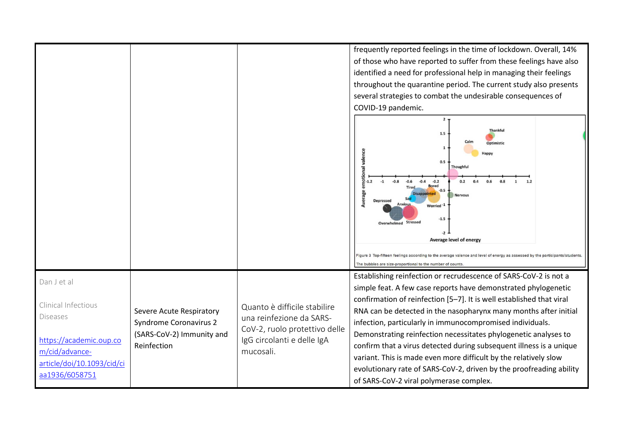|                                                                                                                                                    |                                                                                                       |                                                                                                                                      | frequently reported feelings in the time of lockdown. Overall, 14%<br>of those who have reported to suffer from these feelings have also<br>identified a need for professional help in managing their feelings<br>throughout the quarantine period. The current study also presents<br>several strategies to combat the undesirable consequences of<br>COVID-19 pandemic.<br>2 <sub>1</sub><br>Thankfu<br>1.5<br>Ontimistic<br>0.5<br>Thoughful<br>$-0.8$<br>$-0.2$<br>0.2<br>$-1$<br>$-0.6$<br>$-0.4$<br>0.4<br>0.6<br>0.8<br>1.7<br>$\mathbf{1}$<br><b>Bored</b><br><b>Tired</b><br>$-0.5$<br>Average<br><b>Nervous</b><br><b>Depressed</b><br><b>Anxious</b><br>Worried <sup>-1</sup><br>$-1.5$<br>Overwhelmed Stressed<br>$-2$<br>Average level of energy |
|----------------------------------------------------------------------------------------------------------------------------------------------------|-------------------------------------------------------------------------------------------------------|--------------------------------------------------------------------------------------------------------------------------------------|---------------------------------------------------------------------------------------------------------------------------------------------------------------------------------------------------------------------------------------------------------------------------------------------------------------------------------------------------------------------------------------------------------------------------------------------------------------------------------------------------------------------------------------------------------------------------------------------------------------------------------------------------------------------------------------------------------------------------------------------------------------|
|                                                                                                                                                    |                                                                                                       |                                                                                                                                      | Figure 3 Top-fifteen feelings according to the average valence and level of energy as assessed by the participants/students.<br>The bubbles are size-proportional to the number of counts                                                                                                                                                                                                                                                                                                                                                                                                                                                                                                                                                                     |
| Dan J et al<br>Clinical Infectious<br><b>Diseases</b><br>https://academic.oup.co<br>m/cid/advance-<br>article/doi/10.1093/cid/ci<br>aa1936/6058751 | Severe Acute Respiratory<br><b>Syndrome Coronavirus 2</b><br>(SARS-CoV-2) Immunity and<br>Reinfection | Quanto è difficile stabilire<br>una reinfezione da SARS-<br>CoV-2, ruolo protettivo delle<br>IgG circolanti e delle IgA<br>mucosali. | Establishing reinfection or recrudescence of SARS-CoV-2 is not a<br>simple feat. A few case reports have demonstrated phylogenetic<br>confirmation of reinfection [5-7]. It is well established that viral<br>RNA can be detected in the nasopharynx many months after initial<br>infection, particularly in immunocompromised individuals.<br>Demonstrating reinfection necessitates phylogenetic analyses to<br>confirm that a virus detected during subsequent illness is a unique<br>variant. This is made even more difficult by the relatively slow<br>evolutionary rate of SARS-CoV-2, driven by the proofreading ability<br>of SARS-CoV-2 viral polymerase complex.                                                                                   |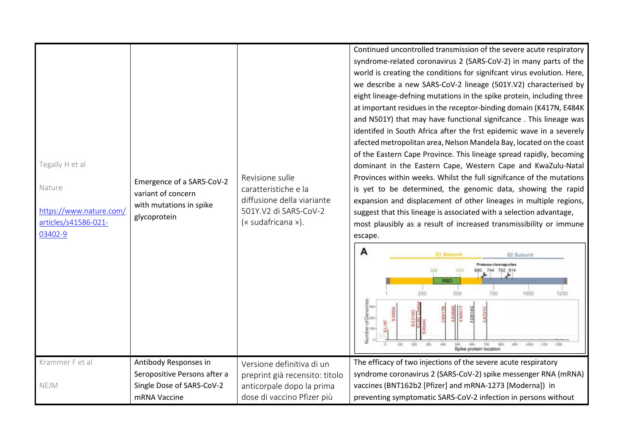| Tegally H et al<br>Nature<br>https://www.nature.com/<br>articles/s41586-021-<br>03402-9 | Emergence of a SARS-CoV-2<br>variant of concern<br>with mutations in spike<br>glycoprotein | Revisione sulle<br>caratteristiche e la<br>diffusione della viariante<br>501Y.V2 di SARS-CoV-2<br>(« sudafricana »). | Continued uncontrolled transmission of the severe acute respiratory<br>syndrome-related coronavirus 2 (SARS-CoV-2) in many parts of the<br>world is creating the conditions for signifcant virus evolution. Here,<br>we describe a new SARS-CoV-2 lineage (501Y.V2) characterised by<br>eight lineage-defning mutations in the spike protein, including three<br>at important residues in the receptor-binding domain (K417N, E484K<br>and N501Y) that may have functional signifcance. This lineage was<br>identifed in South Africa after the frst epidemic wave in a severely<br>afected metropolitan area, Nelson Mandela Bay, located on the coast<br>of the Eastern Cape Province. This lineage spread rapidly, becoming<br>dominant in the Eastern Cape, Western Cape and KwaZulu-Natal<br>Provinces within weeks. Whilst the full signifcance of the mutations<br>is yet to be determined, the genomic data, showing the rapid<br>expansion and displacement of other lineages in multiple regions,<br>suggest that this lineage is associated with a selection advantage,<br>most plausibly as a result of increased transmissibility or immune<br>escape.<br>A<br><b>S1 Subunit</b><br><b>S2 Subunit</b><br>Protease cleavage sites<br>744 782 814<br>533<br><b>RBD</b><br>250<br>750<br>500<br>1000<br>1250<br>Number of Genomes<br> -<br>  9<br>  8<br>5:D614G<br>31080A |
|-----------------------------------------------------------------------------------------|--------------------------------------------------------------------------------------------|----------------------------------------------------------------------------------------------------------------------|--------------------------------------------------------------------------------------------------------------------------------------------------------------------------------------------------------------------------------------------------------------------------------------------------------------------------------------------------------------------------------------------------------------------------------------------------------------------------------------------------------------------------------------------------------------------------------------------------------------------------------------------------------------------------------------------------------------------------------------------------------------------------------------------------------------------------------------------------------------------------------------------------------------------------------------------------------------------------------------------------------------------------------------------------------------------------------------------------------------------------------------------------------------------------------------------------------------------------------------------------------------------------------------------------------------------------------------------------------------------------------------|
|                                                                                         |                                                                                            |                                                                                                                      | $\overline{5}$<br>200<br>$400 -$<br>100<br>300<br>500<br>600<br>$t\bar{t}00$<br>700<br>800<br>1000<br>Spike protein location                                                                                                                                                                                                                                                                                                                                                                                                                                                                                                                                                                                                                                                                                                                                                                                                                                                                                                                                                                                                                                                                                                                                                                                                                                                         |
| Krammer F et al                                                                         | Antibody Responses in                                                                      | Versione definitiva di un                                                                                            | The efficacy of two injections of the severe acute respiratory                                                                                                                                                                                                                                                                                                                                                                                                                                                                                                                                                                                                                                                                                                                                                                                                                                                                                                                                                                                                                                                                                                                                                                                                                                                                                                                       |
|                                                                                         | Seropositive Persons after a                                                               | preprint già recensito: titolo                                                                                       | syndrome coronavirus 2 (SARS-CoV-2) spike messenger RNA (mRNA)                                                                                                                                                                                                                                                                                                                                                                                                                                                                                                                                                                                                                                                                                                                                                                                                                                                                                                                                                                                                                                                                                                                                                                                                                                                                                                                       |
| NEJM                                                                                    | Single Dose of SARS-CoV-2                                                                  | anticorpale dopo la prima                                                                                            | vaccines (BNT162b2 [Pfizer] and mRNA-1273 [Moderna]) in                                                                                                                                                                                                                                                                                                                                                                                                                                                                                                                                                                                                                                                                                                                                                                                                                                                                                                                                                                                                                                                                                                                                                                                                                                                                                                                              |
|                                                                                         | mRNA Vaccine                                                                               | dose di vaccino Pfizer più                                                                                           | preventing symptomatic SARS-CoV-2 infection in persons without                                                                                                                                                                                                                                                                                                                                                                                                                                                                                                                                                                                                                                                                                                                                                                                                                                                                                                                                                                                                                                                                                                                                                                                                                                                                                                                       |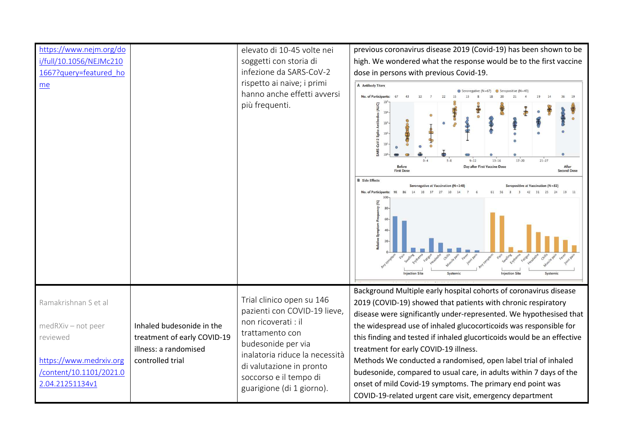| https://www.nejm.org/do<br>i/full/10.1056/NEJMc210<br>1667?query=featured ho<br>me |                                                                                                       | elevato di 10-45 volte nei<br>soggetti con storia di<br>infezione da SARS-CoV-2<br>rispetto ai naive; i primi<br>hanno anche effetti avversi<br>più frequenti.                                                                                 | previous coronavirus disease 2019 (Covid-19) has been shown to be<br>high. We wondered what the response would be to the first vaccine<br>dose in persons with previous Covid-19.<br>A Antibody Titers<br>No. of Participants<br>$17 - 20$<br>$21 - 27$<br>$9 - 12$<br>$13 - 16$<br>Day after First Vaccine Dose<br><b>Before</b><br>After<br><b>First Dose</b><br><b>Second Dose</b><br><b>B</b> Side Effects<br>Seronegative at Vaccination $(N=148)$<br>eropositive at Vaccination (N=82)<br>No. of Participants: |
|------------------------------------------------------------------------------------|-------------------------------------------------------------------------------------------------------|------------------------------------------------------------------------------------------------------------------------------------------------------------------------------------------------------------------------------------------------|----------------------------------------------------------------------------------------------------------------------------------------------------------------------------------------------------------------------------------------------------------------------------------------------------------------------------------------------------------------------------------------------------------------------------------------------------------------------------------------------------------------------|
|                                                                                    |                                                                                                       |                                                                                                                                                                                                                                                | <b>Injection Site</b><br>niection Site<br>Systemi                                                                                                                                                                                                                                                                                                                                                                                                                                                                    |
| Ramakrishnan S et al<br>medRXiv - not peer<br>reviewed                             | Inhaled budesonide in the<br>treatment of early COVID-19<br>illness: a randomised<br>controlled trial | Trial clinico open su 146<br>pazienti con COVID-19 lieve,<br>non ricoverati : il<br>trattamento con<br>budesonide per via<br>inalatoria riduce la necessità<br>di valutazione in pronto<br>soccorso e il tempo di<br>guarigione (di 1 giorno). | Background Multiple early hospital cohorts of coronavirus disease<br>2019 (COVID-19) showed that patients with chronic respiratory<br>disease were significantly under-represented. We hypothesised that<br>the widespread use of inhaled glucocorticoids was responsible for<br>this finding and tested if inhaled glucorticoids would be an effective                                                                                                                                                              |
| https://www.medrxiv.org<br>/content/10.1101/2021.0<br>2.04.21251134v1              |                                                                                                       |                                                                                                                                                                                                                                                | treatment for early COVID-19 illness.<br>Methods We conducted a randomised, open label trial of inhaled<br>budesonide, compared to usual care, in adults within 7 days of the<br>onset of mild Covid-19 symptoms. The primary end point was<br>COVID-19-related urgent care visit, emergency department                                                                                                                                                                                                              |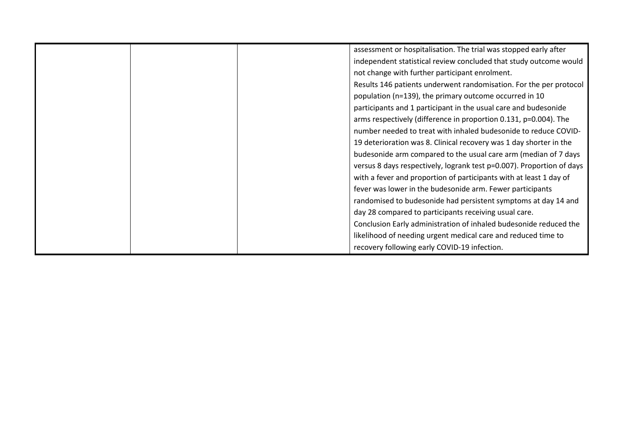|  | assessment or hospitalisation. The trial was stopped early after      |
|--|-----------------------------------------------------------------------|
|  | independent statistical review concluded that study outcome would     |
|  | not change with further participant enrolment.                        |
|  | Results 146 patients underwent randomisation. For the per protocol    |
|  | population (n=139), the primary outcome occurred in 10                |
|  | participants and 1 participant in the usual care and budesonide       |
|  | arms respectively (difference in proportion 0.131, p=0.004). The      |
|  | number needed to treat with inhaled budesonide to reduce COVID-       |
|  | 19 deterioration was 8. Clinical recovery was 1 day shorter in the    |
|  | budesonide arm compared to the usual care arm (median of 7 days       |
|  | versus 8 days respectively, logrank test p=0.007). Proportion of days |
|  | with a fever and proportion of participants with at least 1 day of    |
|  | fever was lower in the budesonide arm. Fewer participants             |
|  | randomised to budesonide had persistent symptoms at day 14 and        |
|  | day 28 compared to participants receiving usual care.                 |
|  | Conclusion Early administration of inhaled budesonide reduced the     |
|  | likelihood of needing urgent medical care and reduced time to         |
|  | recovery following early COVID-19 infection.                          |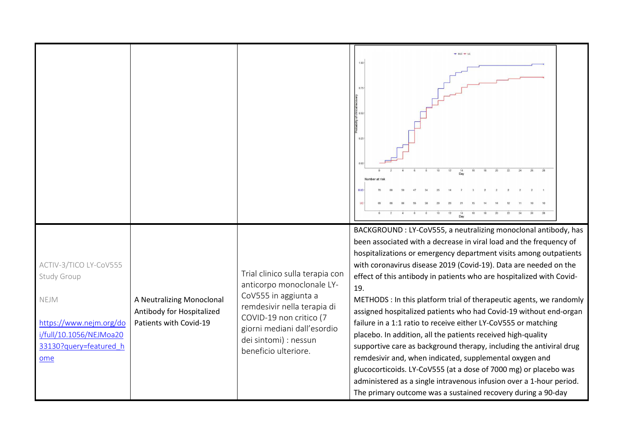|                                                                                                                                      |                                                                                  |                                                                                                                                                                                                                                | $+ 800 + 00$<br>0 <sup>0</sup>                                                                                                                                                                                                                                                                                                                                                                                                                                                                                                                                                                                                                                                                                                                                                                                                                                                                                                                                                           |
|--------------------------------------------------------------------------------------------------------------------------------------|----------------------------------------------------------------------------------|--------------------------------------------------------------------------------------------------------------------------------------------------------------------------------------------------------------------------------|------------------------------------------------------------------------------------------------------------------------------------------------------------------------------------------------------------------------------------------------------------------------------------------------------------------------------------------------------------------------------------------------------------------------------------------------------------------------------------------------------------------------------------------------------------------------------------------------------------------------------------------------------------------------------------------------------------------------------------------------------------------------------------------------------------------------------------------------------------------------------------------------------------------------------------------------------------------------------------------|
| ACTIV-3/TICO LY-CoV555<br>Study Group<br>NEJM<br>https://www.nejm.org/do<br>i/full/10.1056/NEJMoa20<br>33130?query=featured_h<br>ome | A Neutralizing Monoclonal<br>Antibody for Hospitalized<br>Patients with Covid-19 | Trial clinico sulla terapia con<br>anticorpo monoclonale LY-<br>CoV555 in aggiunta a<br>remdesivir nella terapia di<br>COVID-19 non critico (7<br>giorni mediani dall'esordio<br>dei sintomi) : nessun<br>beneficio ulteriore. | BACKGROUND : LY-CoV555, a neutralizing monoclonal antibody, has<br>been associated with a decrease in viral load and the frequency of<br>hospitalizations or emergency department visits among outpatients<br>with coronavirus disease 2019 (Covid-19). Data are needed on the<br>effect of this antibody in patients who are hospitalized with Covid-<br>19.<br>METHODS : In this platform trial of therapeutic agents, we randomly<br>assigned hospitalized patients who had Covid-19 without end-organ<br>failure in a 1:1 ratio to receive either LY-CoV555 or matching<br>placebo. In addition, all the patients received high-quality<br>supportive care as background therapy, including the antiviral drug<br>remdesivir and, when indicated, supplemental oxygen and<br>glucocorticoids. LY-CoV555 (at a dose of 7000 mg) or placebo was<br>administered as a single intravenous infusion over a 1-hour period.<br>The primary outcome was a sustained recovery during a 90-day |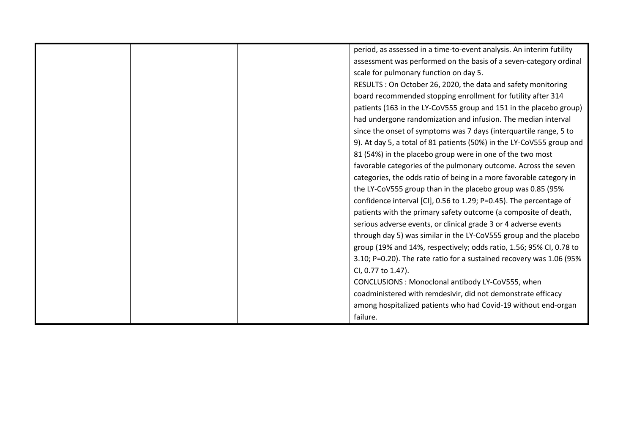|  | period, as assessed in a time-to-event analysis. An interim futility  |
|--|-----------------------------------------------------------------------|
|  | assessment was performed on the basis of a seven-category ordinal     |
|  | scale for pulmonary function on day 5.                                |
|  | RESULTS: On October 26, 2020, the data and safety monitoring          |
|  | board recommended stopping enrollment for futility after 314          |
|  | patients (163 in the LY-CoV555 group and 151 in the placebo group)    |
|  | had undergone randomization and infusion. The median interval         |
|  | since the onset of symptoms was 7 days (interquartile range, 5 to     |
|  | 9). At day 5, a total of 81 patients (50%) in the LY-CoV555 group and |
|  | 81 (54%) in the placebo group were in one of the two most             |
|  | favorable categories of the pulmonary outcome. Across the seven       |
|  | categories, the odds ratio of being in a more favorable category in   |
|  | the LY-CoV555 group than in the placebo group was 0.85 (95%           |
|  | confidence interval [CI], 0.56 to 1.29; P=0.45). The percentage of    |
|  | patients with the primary safety outcome (a composite of death,       |
|  | serious adverse events, or clinical grade 3 or 4 adverse events       |
|  | through day 5) was similar in the LY-CoV555 group and the placebo     |
|  | group (19% and 14%, respectively; odds ratio, 1.56; 95% CI, 0.78 to   |
|  | 3.10; P=0.20). The rate ratio for a sustained recovery was 1.06 (95%  |
|  | CI, 0.77 to 1.47).                                                    |
|  | CONCLUSIONS: Monoclonal antibody LY-CoV555, when                      |
|  | coadministered with remdesivir, did not demonstrate efficacy          |
|  | among hospitalized patients who had Covid-19 without end-organ        |
|  | failure.                                                              |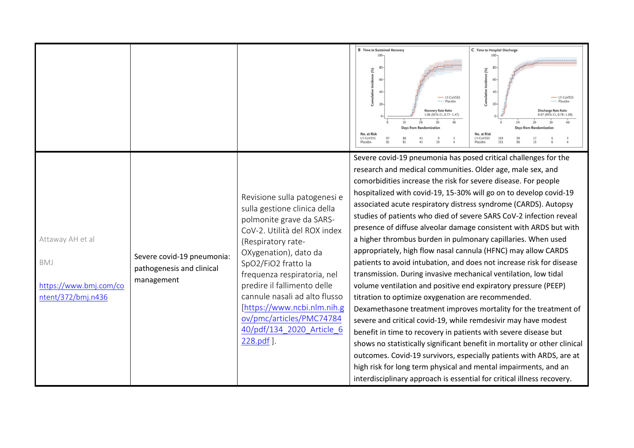|                                                                         |                                                                       |                                                                                                                                                                                                                                                                                                                                                                                                     | <b>B</b> Time to Sustained Recovery<br>$100-$                                                                                                                                                                                                                                                                                                                                                                                                                                                                                                                                                                                                                                                                                                      | C Time to Hospital Discharge<br>$100 -$                                                                                                                                                                                                                                                                                                                                                                                                |
|-------------------------------------------------------------------------|-----------------------------------------------------------------------|-----------------------------------------------------------------------------------------------------------------------------------------------------------------------------------------------------------------------------------------------------------------------------------------------------------------------------------------------------------------------------------------------------|----------------------------------------------------------------------------------------------------------------------------------------------------------------------------------------------------------------------------------------------------------------------------------------------------------------------------------------------------------------------------------------------------------------------------------------------------------------------------------------------------------------------------------------------------------------------------------------------------------------------------------------------------------------------------------------------------------------------------------------------------|----------------------------------------------------------------------------------------------------------------------------------------------------------------------------------------------------------------------------------------------------------------------------------------------------------------------------------------------------------------------------------------------------------------------------------------|
|                                                                         |                                                                       |                                                                                                                                                                                                                                                                                                                                                                                                     | Incidence (%)<br>$60 -$<br>Cumulative<br>$-$ LY-CoV555<br>Placebo<br><b>Recovery Rate Ratio</b><br>1.06 (95% CI, 0.77-1.47)<br><b>Days from Randomization</b><br>No. at Risk<br>LY-CoV555<br>Placebo                                                                                                                                                                                                                                                                                                                                                                                                                                                                                                                                               | (%)<br>60<br>40<br>$-$ LY-CoV555<br>---- Placebo<br>20<br><b>Discharge Rate Ratio</b><br>0.97 (95% CI, 0.78-1.20)<br><b>Days from Randomization</b><br>No. at Risk<br>LY-CoV555<br>163<br>Placebo                                                                                                                                                                                                                                      |
|                                                                         |                                                                       |                                                                                                                                                                                                                                                                                                                                                                                                     | Severe covid-19 pneumonia has posed critical challenges for the                                                                                                                                                                                                                                                                                                                                                                                                                                                                                                                                                                                                                                                                                    |                                                                                                                                                                                                                                                                                                                                                                                                                                        |
|                                                                         |                                                                       |                                                                                                                                                                                                                                                                                                                                                                                                     | research and medical communities. Older age, male sex, and<br>comorbidities increase the risk for severe disease. For people                                                                                                                                                                                                                                                                                                                                                                                                                                                                                                                                                                                                                       |                                                                                                                                                                                                                                                                                                                                                                                                                                        |
| Attaway AH et al<br>BMJ<br>https://www.bmj.com/co<br>ntent/372/bmj.n436 | Severe covid-19 pneumonia:<br>pathogenesis and clinical<br>management | Revisione sulla patogenesi e<br>sulla gestione clinica della<br>polmonite grave da SARS-<br>CoV-2. Utilità del ROX index<br>(Respiratory rate-<br>OXygenation), dato da<br>SpO2/FiO2 fratto la<br>frequenza respiratoria, nel<br>predire il fallimento delle<br>cannule nasali ad alto flusso<br>[https://www.ncbi.nlm.nih.g<br>ov/pmc/articles/PMC74784<br>40/pdf/134 2020 Article 6<br>228.pdf ]. | hospitalized with covid-19, 15-30% will go on to develop covid-19<br>associated acute respiratory distress syndrome (CARDS). Autopsy<br>a higher thrombus burden in pulmonary capillaries. When used<br>appropriately, high flow nasal cannula (HFNC) may allow CARDS<br>transmission. During invasive mechanical ventilation, low tidal<br>volume ventilation and positive end expiratory pressure (PEEP)<br>titration to optimize oxygenation are recommended.<br>severe and critical covid-19, while remdesivir may have modest<br>benefit in time to recovery in patients with severe disease but<br>high risk for long term physical and mental impairments, and an<br>interdisciplinary approach is essential for critical illness recovery. | studies of patients who died of severe SARS CoV-2 infection reveal<br>presence of diffuse alveolar damage consistent with ARDS but with<br>patients to avoid intubation, and does not increase risk for disease<br>Dexamethasone treatment improves mortality for the treatment of<br>shows no statistically significant benefit in mortality or other clinical<br>outcomes. Covid-19 survivors, especially patients with ARDS, are at |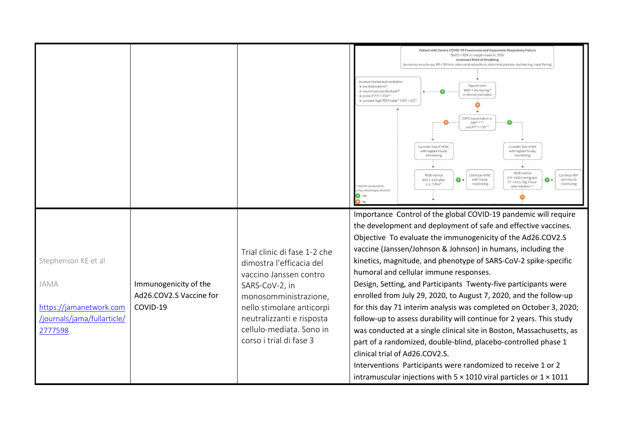|                                                                                                  |                                                              |                                                                                                                                                                                                                                                | Patient with Severe COVID-19 Pneumonia and Hypoxemic Respiratory Failure<br>(SaO2 < 90% on oxygen mask at 50%)<br><b>Increased Work of Breathing</b><br>(accessory muscle use, RR > 30/min, intercostal retractions, abdominal paradox, tracheal tug, nasal flaring)<br>nyasiye mechanical yentilation<br>low tidal volume <sup>er</sup><br>Hypotension<br>$(MAP < 65$ mm Hg)*<br>neuromuscular blockade <sup>81</sup><br>or Altered mentation<br>prone if $P/F \le 150^{7}$<br>consider high PEEP table <sup>71</sup> if R/I > 0.5 <sup>7</sup><br>COPD exacerbation or<br>CHF <sup>10,11</sup><br>and P/F > 150"<br>Consider trial of HFNC<br>Consider trial of NIV<br>with vigilant hourly<br>with vigilant hourly<br>monitorini<br>monitorir<br>WOB normal<br><b>WOB</b> normal<br>Continue HFNC<br>Continue NIV<br>P/F >200 mmHg and<br>$\bullet$<br>$\bullet$<br>with hourly<br>with hourly<br>ROX > 3.85 after<br>VT < 9 mL/kg 1 hour<br>monitoring<br>monitoring<br>2.6.12hrs <sup>21</sup><br>equires vasopressors<br>after initiation <sup>1</sup><br>has clinical signs of shock |
|--------------------------------------------------------------------------------------------------|--------------------------------------------------------------|------------------------------------------------------------------------------------------------------------------------------------------------------------------------------------------------------------------------------------------------|---------------------------------------------------------------------------------------------------------------------------------------------------------------------------------------------------------------------------------------------------------------------------------------------------------------------------------------------------------------------------------------------------------------------------------------------------------------------------------------------------------------------------------------------------------------------------------------------------------------------------------------------------------------------------------------------------------------------------------------------------------------------------------------------------------------------------------------------------------------------------------------------------------------------------------------------------------------------------------------------------------------------------------------------------------------------------------------------|
| Stephenson KE et al<br>JAMA<br>https://jamanetwork.com<br>/journals/jama/fullarticle/<br>2777598 | Immunogenicity of the<br>Ad26.COV2.S Vaccine for<br>COVID-19 | Trial clinic di fase 1-2 che<br>dimostra l'efficacia del<br>vaccino Janssen contro<br>SARS-CoV-2, in<br>monosomministrazione,<br>nello stimolare anticorpi<br>neutralizzanti e risposta<br>cellulo-mediata. Sono in<br>corso i trial di fase 3 | Importance Control of the global COVID-19 pandemic will require<br>the development and deployment of safe and effective vaccines.<br>Objective To evaluate the immunogenicity of the Ad26.COV2.S<br>vaccine (Janssen/Johnson & Johnson) in humans, including the<br>kinetics, magnitude, and phenotype of SARS-CoV-2 spike-specific<br>humoral and cellular immune responses.<br>Design, Setting, and Participants Twenty-five participants were<br>enrolled from July 29, 2020, to August 7, 2020, and the follow-up<br>for this day 71 interim analysis was completed on October 3, 2020;<br>follow-up to assess durability will continue for 2 years. This study<br>was conducted at a single clinical site in Boston, Massachusetts, as<br>part of a randomized, double-blind, placebo-controlled phase 1<br>clinical trial of Ad26.COV2.S.<br>Interventions Participants were randomized to receive 1 or 2<br>intramuscular injections with $5 \times 1010$ viral particles or $1 \times 1011$                                                                                         |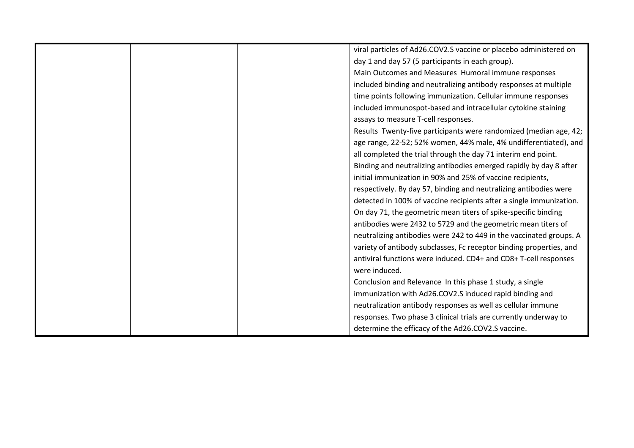|  | viral particles of Ad26.COV2.S vaccine or placebo administered on   |
|--|---------------------------------------------------------------------|
|  | day 1 and day 57 (5 participants in each group).                    |
|  | Main Outcomes and Measures Humoral immune responses                 |
|  | included binding and neutralizing antibody responses at multiple    |
|  | time points following immunization. Cellular immune responses       |
|  | included immunospot-based and intracellular cytokine staining       |
|  | assays to measure T-cell responses.                                 |
|  | Results Twenty-five participants were randomized (median age, 42;   |
|  | age range, 22-52; 52% women, 44% male, 4% undifferentiated), and    |
|  | all completed the trial through the day 71 interim end point.       |
|  | Binding and neutralizing antibodies emerged rapidly by day 8 after  |
|  | initial immunization in 90% and 25% of vaccine recipients,          |
|  | respectively. By day 57, binding and neutralizing antibodies were   |
|  | detected in 100% of vaccine recipients after a single immunization. |
|  | On day 71, the geometric mean titers of spike-specific binding      |
|  | antibodies were 2432 to 5729 and the geometric mean titers of       |
|  | neutralizing antibodies were 242 to 449 in the vaccinated groups. A |
|  | variety of antibody subclasses, Fc receptor binding properties, and |
|  | antiviral functions were induced. CD4+ and CD8+ T-cell responses    |
|  | were induced.                                                       |
|  | Conclusion and Relevance In this phase 1 study, a single            |
|  | immunization with Ad26.COV2.S induced rapid binding and             |
|  | neutralization antibody responses as well as cellular immune        |
|  | responses. Two phase 3 clinical trials are currently underway to    |
|  | determine the efficacy of the Ad26.COV2.S vaccine.                  |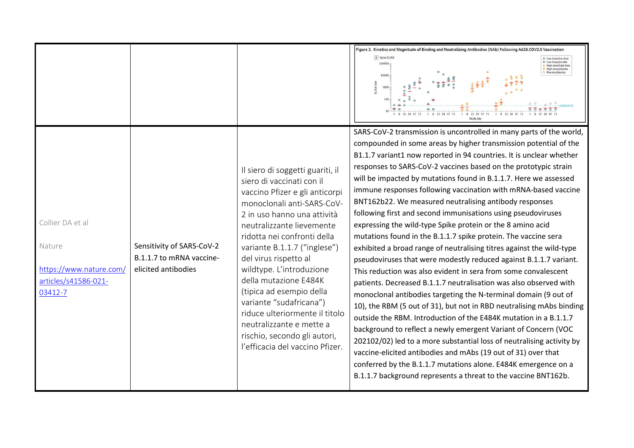|                                                                                          |                                                                              |                                                                                                                                                                                                                                                                                                                                                                                                                                                                                                                                | Figure 2. Kinetics and Magnitude of Binding and Neutralizing Antibodies (NAb) Following Ad26.COV2.S Vaccination<br>A Spike ELISA<br>Low dose/placebo<br>100000<br>High dose/high dose<br>High dose/placebo<br>Placebo/placebo<br>10000<br>ELISA tite<br>0 0 0 1100(28.9)<br>1 8 15 29 57 71<br>1 8 15 29 57 71<br>1 8 15 29 57                                                                                                                                                                                                                                                                                                                                                                                                                                                                                                                                                                                                                                                                                                                                                                                                                                                                                                                                                                                                                                                                                                                                                                                                       |
|------------------------------------------------------------------------------------------|------------------------------------------------------------------------------|--------------------------------------------------------------------------------------------------------------------------------------------------------------------------------------------------------------------------------------------------------------------------------------------------------------------------------------------------------------------------------------------------------------------------------------------------------------------------------------------------------------------------------|--------------------------------------------------------------------------------------------------------------------------------------------------------------------------------------------------------------------------------------------------------------------------------------------------------------------------------------------------------------------------------------------------------------------------------------------------------------------------------------------------------------------------------------------------------------------------------------------------------------------------------------------------------------------------------------------------------------------------------------------------------------------------------------------------------------------------------------------------------------------------------------------------------------------------------------------------------------------------------------------------------------------------------------------------------------------------------------------------------------------------------------------------------------------------------------------------------------------------------------------------------------------------------------------------------------------------------------------------------------------------------------------------------------------------------------------------------------------------------------------------------------------------------------|
| Collier DA et al<br>Nature<br>https://www.nature.com/<br>articles/s41586-021-<br>03412-7 | Sensitivity of SARS-CoV-2<br>B.1.1.7 to mRNA vaccine-<br>elicited antibodies | Il siero di soggetti guariti, il<br>siero di vaccinati con il<br>vaccino Pfizer e gli anticorpi<br>monoclonali anti-SARS-CoV-<br>2 in uso hanno una attività<br>neutralizzante lievemente<br>ridotta nei confronti della<br>variante B.1.1.7 ("inglese")<br>del virus rispetto al<br>wildtype. L'introduzione<br>della mutazione E484K<br>(tipica ad esempio della<br>variante "sudafricana")<br>riduce ulteriormente il titolo<br>neutralizzante e mette a<br>rischio, secondo gli autori,<br>l'efficacia del vaccino Pfizer. | SARS-CoV-2 transmission is uncontrolled in many parts of the world,<br>compounded in some areas by higher transmission potential of the<br>B1.1.7 variant1 now reported in 94 countries. It is unclear whether<br>responses to SARS-CoV-2 vaccines based on the prototypic strain<br>will be impacted by mutations found in B.1.1.7. Here we assessed<br>immune responses following vaccination with mRNA-based vaccine<br>BNT162b22. We measured neutralising antibody responses<br>following first and second immunisations using pseudoviruses<br>expressing the wild-type Spike protein or the 8 amino acid<br>mutations found in the B.1.1.7 spike protein. The vaccine sera<br>exhibited a broad range of neutralising titres against the wild-type<br>pseudoviruses that were modestly reduced against B.1.1.7 variant.<br>This reduction was also evident in sera from some convalescent<br>patients. Decreased B.1.1.7 neutralisation was also observed with<br>monoclonal antibodies targeting the N-terminal domain (9 out of<br>10), the RBM (5 out of 31), but not in RBD neutralising mAbs binding<br>outside the RBM. Introduction of the E484K mutation in a B.1.1.7<br>background to reflect a newly emergent Variant of Concern (VOC<br>202102/02) led to a more substantial loss of neutralising activity by<br>vaccine-elicited antibodies and mAbs (19 out of 31) over that<br>conferred by the B.1.1.7 mutations alone. E484K emergence on a<br>B.1.1.7 background represents a threat to the vaccine BNT162b. |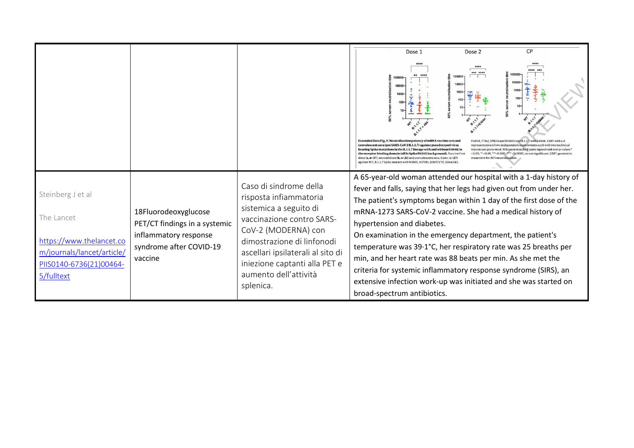|                                                                                                                                    |                                                                                                                      |                                                                                                                                                                                                                                                                          | <b>CP</b><br>Dose 1<br>Dose 2                                                                                                                                                                                                                                                                                                                                                                                                                                                                                                                                                                                                                                                                                                                                                                                                                            |
|------------------------------------------------------------------------------------------------------------------------------------|----------------------------------------------------------------------------------------------------------------------|--------------------------------------------------------------------------------------------------------------------------------------------------------------------------------------------------------------------------------------------------------------------------|----------------------------------------------------------------------------------------------------------------------------------------------------------------------------------------------------------------------------------------------------------------------------------------------------------------------------------------------------------------------------------------------------------------------------------------------------------------------------------------------------------------------------------------------------------------------------------------------------------------------------------------------------------------------------------------------------------------------------------------------------------------------------------------------------------------------------------------------------------|
|                                                                                                                                    |                                                                                                                      |                                                                                                                                                                                                                                                                          | ****<br>*** ****<br>10000<br>Extended Data Fig. 5 Neutralisation potency of mRNA vaccine sera and<br>P681H, T716I, S982A and D1118H and B.1.1.7 with E484K, GMT with s.d<br>convalescent sera (pre SARS-CoV-2B.1.1.7) against pseudotyped virus<br>representative of two independent experiments each with two technical<br>repeats are presented. Wilcoxon matched-pairs signed rank test p-values*<br>bearing Spike mutations in the B.1.1.7 lineage with and without E484K in<br><0.05, ** <0.01, *** <0.001, **** <0.0001, ns not significant. GMT: geometric<br>the receptor binding domain (all In Spike D614G background). Vaccine first<br>mean titre for 50% neutralization.<br>dose ( $a, n=37$ ), second dose ( $b, n=21$ ) and convalescent sera, Conv. ( $c=27$ )<br>against WT, B.1.1.7 Spike mutant with N501Y, A570D, AH69/V70, A144/145 |
| Steinberg J et al<br>The Lancet<br>https://www.thelancet.co<br>m/journals/lancet/article/<br>PIIS0140-6736(21)00464-<br>5/fulltext | 18Fluorodeoxyglucose<br>PET/CT findings in a systemic<br>inflammatory response<br>syndrome after COVID-19<br>vaccine | Caso di sindrome della<br>risposta infiammatoria<br>sistemica a seguito di<br>vaccinazione contro SARS-<br>CoV-2 (MODERNA) con<br>dimostrazione di linfonodi<br>ascellari ipsilaterali al sito di<br>iniezione captanti alla PET e<br>aumento dell'attività<br>splenica. | A 65-year-old woman attended our hospital with a 1-day history of<br>fever and falls, saying that her legs had given out from under her.<br>The patient's symptoms began within 1 day of the first dose of the<br>mRNA-1273 SARS-CoV-2 vaccine. She had a medical history of<br>hypertension and diabetes.<br>On examination in the emergency department, the patient's<br>temperature was 39.1°C, her respiratory rate was 25 breaths per<br>min, and her heart rate was 88 beats per min. As she met the<br>criteria for systemic inflammatory response syndrome (SIRS), an<br>extensive infection work-up was initiated and she was started on<br>broad-spectrum antibiotics.                                                                                                                                                                         |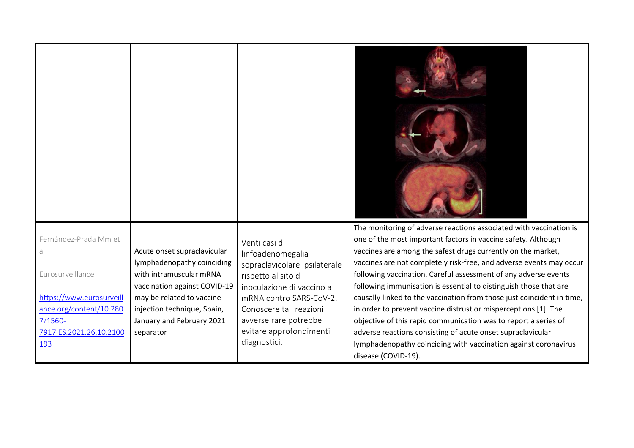| Fernández-Prada Mm et<br>al<br>Eurosurveillance<br>https://www.eurosurveill<br>ance.org/content/10.280<br>$7/1560 -$<br>7917.ES.2021.26.10.2100<br><u> 193</u> | Acute onset supraclavicular<br>lymphadenopathy coinciding<br>with intramuscular mRNA<br>vaccination against COVID-19<br>may be related to vaccine<br>injection technique, Spain,<br>January and February 2021<br>separator | Venti casi di<br>linfoadenomegalia<br>sopraclavicolare ipsilaterale<br>rispetto al sito di<br>inoculazione di vaccino a<br>mRNA contro SARS-CoV-2.<br>Conoscere tali reazioni<br>avverse rare potrebbe<br>evitare approfondimenti<br>diagnostici. | The monitoring of adverse reactions associated with vaccination is<br>one of the most important factors in vaccine safety. Although<br>vaccines are among the safest drugs currently on the market,<br>vaccines are not completely risk-free, and adverse events may occur<br>following vaccination. Careful assessment of any adverse events<br>following immunisation is essential to distinguish those that are<br>causally linked to the vaccination from those just coincident in time,<br>in order to prevent vaccine distrust or misperceptions [1]. The<br>objective of this rapid communication was to report a series of<br>adverse reactions consisting of acute onset supraclavicular<br>lymphadenopathy coinciding with vaccination against coronavirus<br>disease (COVID-19). |
|----------------------------------------------------------------------------------------------------------------------------------------------------------------|----------------------------------------------------------------------------------------------------------------------------------------------------------------------------------------------------------------------------|---------------------------------------------------------------------------------------------------------------------------------------------------------------------------------------------------------------------------------------------------|---------------------------------------------------------------------------------------------------------------------------------------------------------------------------------------------------------------------------------------------------------------------------------------------------------------------------------------------------------------------------------------------------------------------------------------------------------------------------------------------------------------------------------------------------------------------------------------------------------------------------------------------------------------------------------------------------------------------------------------------------------------------------------------------|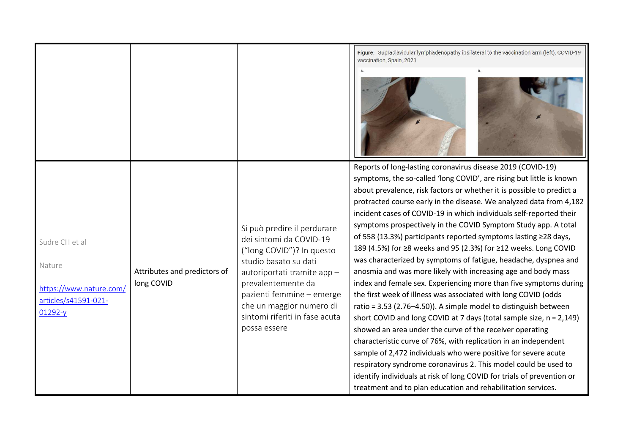|                                                                                        |                                            |                                                                                                                                                                                                                                                                             | Figure. Supraclavicular lymphadenopathy ipsilateral to the vaccination arm (left), COVID-19<br>vaccination, Spain, 2021                                                                                                                                                                                                                                                                                                                                                                                                                                                                                                                                                                                                                                                                                                                                                                                                                                                                                                                                                                                                                                                                                                                                                                                                                                                                                |
|----------------------------------------------------------------------------------------|--------------------------------------------|-----------------------------------------------------------------------------------------------------------------------------------------------------------------------------------------------------------------------------------------------------------------------------|--------------------------------------------------------------------------------------------------------------------------------------------------------------------------------------------------------------------------------------------------------------------------------------------------------------------------------------------------------------------------------------------------------------------------------------------------------------------------------------------------------------------------------------------------------------------------------------------------------------------------------------------------------------------------------------------------------------------------------------------------------------------------------------------------------------------------------------------------------------------------------------------------------------------------------------------------------------------------------------------------------------------------------------------------------------------------------------------------------------------------------------------------------------------------------------------------------------------------------------------------------------------------------------------------------------------------------------------------------------------------------------------------------|
| Sudre CH et al<br>Nature<br>https://www.nature.com/<br>articles/s41591-021-<br>01292-y | Attributes and predictors of<br>long COVID | Si può predire il perdurare<br>dei sintomi da COVID-19<br>("long COVID")? In questo<br>studio basato su dati<br>autoriportati tramite app-<br>prevalentemente da<br>pazienti femmine - emerge<br>che un maggior numero di<br>sintomi riferiti in fase acuta<br>possa essere | Reports of long-lasting coronavirus disease 2019 (COVID-19)<br>symptoms, the so-called 'long COVID', are rising but little is known<br>about prevalence, risk factors or whether it is possible to predict a<br>protracted course early in the disease. We analyzed data from 4,182<br>incident cases of COVID-19 in which individuals self-reported their<br>symptoms prospectively in the COVID Symptom Study app. A total<br>of 558 (13.3%) participants reported symptoms lasting ≥28 days,<br>189 (4.5%) for ≥8 weeks and 95 (2.3%) for ≥12 weeks. Long COVID<br>was characterized by symptoms of fatigue, headache, dyspnea and<br>anosmia and was more likely with increasing age and body mass<br>index and female sex. Experiencing more than five symptoms during<br>the first week of illness was associated with long COVID (odds<br>ratio = 3.53 (2.76-4.50)). A simple model to distinguish between<br>short COVID and long COVID at 7 days (total sample size, n = 2,149)<br>showed an area under the curve of the receiver operating<br>characteristic curve of 76%, with replication in an independent<br>sample of 2,472 individuals who were positive for severe acute<br>respiratory syndrome coronavirus 2. This model could be used to<br>identify individuals at risk of long COVID for trials of prevention or<br>treatment and to plan education and rehabilitation services. |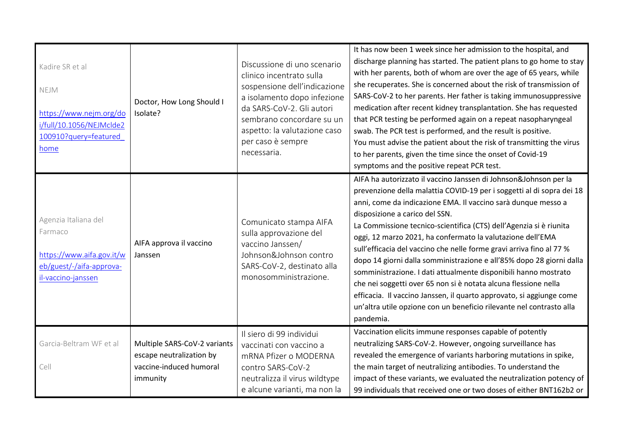| Kadire SR et al<br>NEJM<br>https://www.nejm.org/do<br>i/full/10.1056/NEJMclde2<br>100910?query=featured<br>home | Doctor, How Long Should I<br>Isolate?                                                           | Discussione di uno scenario<br>clinico incentrato sulla<br>sospensione dell'indicazione<br>a isolamento dopo infezione<br>da SARS-CoV-2. Gli autori<br>sembrano concordare su un<br>aspetto: la valutazione caso<br>per caso è sempre<br>necessaria. | It has now been 1 week since her admission to the hospital, and<br>discharge planning has started. The patient plans to go home to stay<br>with her parents, both of whom are over the age of 65 years, while<br>she recuperates. She is concerned about the risk of transmission of<br>SARS-CoV-2 to her parents. Her father is taking immunosuppressive<br>medication after recent kidney transplantation. She has requested<br>that PCR testing be performed again on a repeat nasopharyngeal<br>swab. The PCR test is performed, and the result is positive.<br>You must advise the patient about the risk of transmitting the virus<br>to her parents, given the time since the onset of Covid-19<br>symptoms and the positive repeat PCR test.                                                                                |
|-----------------------------------------------------------------------------------------------------------------|-------------------------------------------------------------------------------------------------|------------------------------------------------------------------------------------------------------------------------------------------------------------------------------------------------------------------------------------------------------|-------------------------------------------------------------------------------------------------------------------------------------------------------------------------------------------------------------------------------------------------------------------------------------------------------------------------------------------------------------------------------------------------------------------------------------------------------------------------------------------------------------------------------------------------------------------------------------------------------------------------------------------------------------------------------------------------------------------------------------------------------------------------------------------------------------------------------------|
| Agenzia Italiana del<br>Farmaco<br>https://www.aifa.gov.it/w<br>eb/guest/-/aifa-approva-<br>il-vaccino-janssen  | AIFA approva il vaccino<br>Janssen                                                              | Comunicato stampa AIFA<br>sulla approvazione del<br>vaccino Janssen/<br>Johnson&Johnson contro<br>SARS-CoV-2, destinato alla<br>monosomministrazione.                                                                                                | AIFA ha autorizzato il vaccino Janssen di Johnson&Johnson per la<br>prevenzione della malattia COVID-19 per i soggetti al di sopra dei 18<br>anni, come da indicazione EMA. Il vaccino sarà dunque messo a<br>disposizione a carico del SSN.<br>La Commissione tecnico-scientifica (CTS) dell'Agenzia si è riunita<br>oggi, 12 marzo 2021, ha confermato la valutazione dell'EMA<br>sull'efficacia del vaccino che nelle forme gravi arriva fino al 77 %<br>dopo 14 giorni dalla somministrazione e all'85% dopo 28 giorni dalla<br>somministrazione. I dati attualmente disponibili hanno mostrato<br>che nei soggetti over 65 non si è notata alcuna flessione nella<br>efficacia. Il vaccino Janssen, il quarto approvato, si aggiunge come<br>un'altra utile opzione con un beneficio rilevante nel contrasto alla<br>pandemia. |
| Garcia-Beltram WF et al<br>Cell                                                                                 | Multiple SARS-CoV-2 variants<br>escape neutralization by<br>vaccine-induced humoral<br>immunity | Il siero di 99 individui<br>vaccinati con vaccino a<br>mRNA Pfizer o MODERNA<br>contro SARS-CoV-2<br>neutralizza il virus wildtype<br>e alcune varianti, ma non la                                                                                   | Vaccination elicits immune responses capable of potently<br>neutralizing SARS-CoV-2. However, ongoing surveillance has<br>revealed the emergence of variants harboring mutations in spike,<br>the main target of neutralizing antibodies. To understand the<br>impact of these variants, we evaluated the neutralization potency of<br>99 individuals that received one or two doses of either BNT162b2 or                                                                                                                                                                                                                                                                                                                                                                                                                          |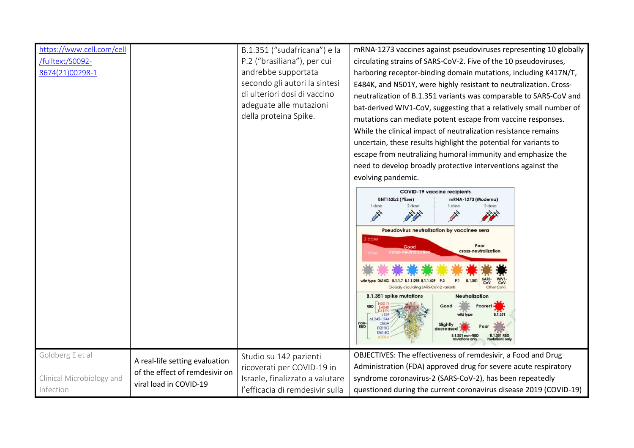| https://www.cell.com/cell<br>-fulltext/S0092/<br>8674(21)00298-1 |                                                                                            | B.1.351 ("sudafricana") e la<br>P.2 ("brasiliana"), per cui<br>andrebbe supportata<br>secondo gli autori la sintesi<br>di ulteriori dosi di vaccino<br>adeguate alle mutazioni<br>della proteina Spike. | mRNA-1273 vaccines against pseudoviruses representing 10 globally<br>circulating strains of SARS-CoV-2. Five of the 10 pseudoviruses,<br>harboring receptor-binding domain mutations, including K417N/T,<br>E484K, and N501Y, were highly resistant to neutralization. Cross-<br>neutralization of B.1.351 variants was comparable to SARS-CoV and<br>bat-derived WIV1-CoV, suggesting that a relatively small number of<br>mutations can mediate potent escape from vaccine responses.<br>While the clinical impact of neutralization resistance remains<br>uncertain, these results highlight the potential for variants to<br>escape from neutralizing humoral immunity and emphasize the<br>need to develop broadly protective interventions against the<br>evolving pandemic.<br><b>COVID-19 vaccine recipients</b><br>BNT162b2 (Pfizer)<br>mRNA-1273 (Moderna)<br>1 dose<br>2 dose<br>I dose<br>2 dose<br>Pseudovirus neutralization by vaccinee sera<br>dose<br>Poor<br>Good<br>cross-neutralization<br><b>B.1.351</b><br><b>P.1</b><br>CoV<br>CoV<br>Globally circulating SARS-CoV-2 variants<br>Other CoVs<br><b>B.1.351 spike mutations</b><br>Neutralization<br>Good<br><b>RBD</b><br>oorest =<br><b>B.1.351</b><br>AL242-L244<br><b>DBO/</b><br>non-<br>RBD<br>Slightly<br>D215G<br>decreased<br>D614G<br><b>B.1.351 non-RBD</b><br><b>B.1.351 RBD</b> |
|------------------------------------------------------------------|--------------------------------------------------------------------------------------------|---------------------------------------------------------------------------------------------------------------------------------------------------------------------------------------------------------|--------------------------------------------------------------------------------------------------------------------------------------------------------------------------------------------------------------------------------------------------------------------------------------------------------------------------------------------------------------------------------------------------------------------------------------------------------------------------------------------------------------------------------------------------------------------------------------------------------------------------------------------------------------------------------------------------------------------------------------------------------------------------------------------------------------------------------------------------------------------------------------------------------------------------------------------------------------------------------------------------------------------------------------------------------------------------------------------------------------------------------------------------------------------------------------------------------------------------------------------------------------------------------------------------------------------------------------------------------------------|
|                                                                  |                                                                                            |                                                                                                                                                                                                         |                                                                                                                                                                                                                                                                                                                                                                                                                                                                                                                                                                                                                                                                                                                                                                                                                                                                                                                                                                                                                                                                                                                                                                                                                                                                                                                                                                    |
| Goldberg E et al<br>Clinical Microbiology and<br>Infection       | A real-life setting evaluation<br>of the effect of remdesivir on<br>viral load in COVID-19 | Studio su 142 pazienti<br>ricoverati per COVID-19 in<br>Israele, finalizzato a valutare<br>l'efficacia di remdesivir sulla                                                                              | OBJECTIVES: The effectiveness of remdesivir, a Food and Drug<br>Administration (FDA) approved drug for severe acute respiratory<br>syndrome coronavirus-2 (SARS-CoV-2), has been repeatedly<br>questioned during the current coronavirus disease 2019 (COVID-19)                                                                                                                                                                                                                                                                                                                                                                                                                                                                                                                                                                                                                                                                                                                                                                                                                                                                                                                                                                                                                                                                                                   |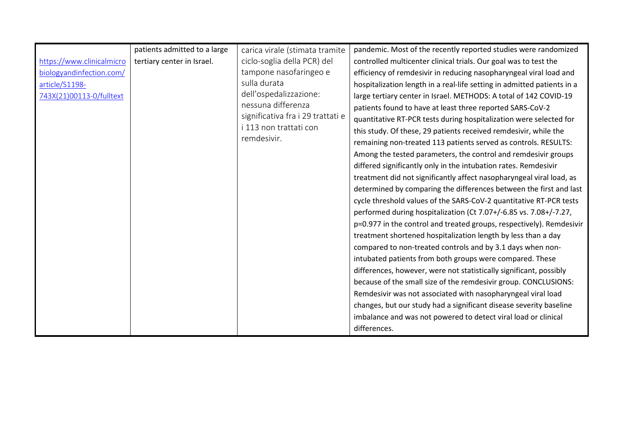|                           | patients admitted to a large | carica virale (stimata tramite    | pandemic. Most of the recently reported studies were randomized         |
|---------------------------|------------------------------|-----------------------------------|-------------------------------------------------------------------------|
| https://www.clinicalmicro | tertiary center in Israel.   | ciclo-soglia della PCR) del       | controlled multicenter clinical trials. Our goal was to test the        |
| biologyandinfection.com/  |                              | tampone nasofaringeo e            | efficiency of remdesivir in reducing nasopharyngeal viral load and      |
| article/S1198-            |                              | sulla durata                      | hospitalization length in a real-life setting in admitted patients in a |
| 743X(21)00113-0/fulltext  |                              | dell'ospedalizzazione:            | large tertiary center in Israel. METHODS: A total of 142 COVID-19       |
|                           |                              | nessuna differenza                | patients found to have at least three reported SARS-CoV-2               |
|                           |                              | significativa fra i 29 trattati e | quantitative RT-PCR tests during hospitalization were selected for      |
|                           |                              | i 113 non trattati con            | this study. Of these, 29 patients received remdesivir, while the        |
|                           |                              | remdesivir.                       | remaining non-treated 113 patients served as controls. RESULTS:         |
|                           |                              |                                   | Among the tested parameters, the control and remdesivir groups          |
|                           |                              |                                   | differed significantly only in the intubation rates. Remdesivir         |
|                           |                              |                                   | treatment did not significantly affect nasopharyngeal viral load, as    |
|                           |                              |                                   | determined by comparing the differences between the first and last      |
|                           |                              |                                   | cycle threshold values of the SARS-CoV-2 quantitative RT-PCR tests      |
|                           |                              |                                   | performed during hospitalization (Ct 7.07+/-6.85 vs. 7.08+/-7.27,       |
|                           |                              |                                   | p=0.977 in the control and treated groups, respectively). Remdesivir    |
|                           |                              |                                   | treatment shortened hospitalization length by less than a day           |
|                           |                              |                                   | compared to non-treated controls and by 3.1 days when non-              |
|                           |                              |                                   | intubated patients from both groups were compared. These                |
|                           |                              |                                   | differences, however, were not statistically significant, possibly      |
|                           |                              |                                   | because of the small size of the remdesivir group. CONCLUSIONS:         |
|                           |                              |                                   | Remdesivir was not associated with nasopharyngeal viral load            |
|                           |                              |                                   | changes, but our study had a significant disease severity baseline      |
|                           |                              |                                   | imbalance and was not powered to detect viral load or clinical          |
|                           |                              |                                   | differences.                                                            |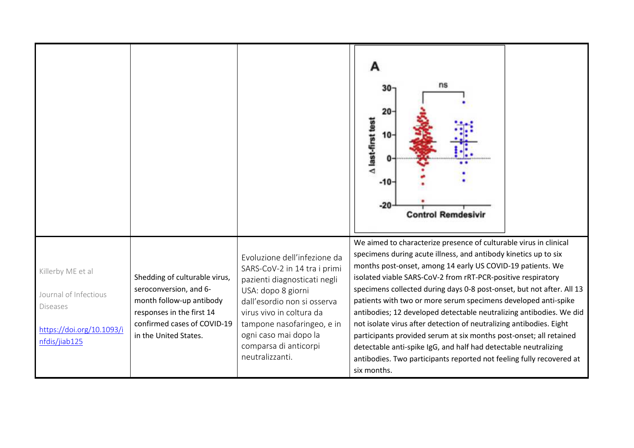|                                                                                                             |                                                                                                                                                                          |                                                                                                                                                                                                                                                                                  | ns<br>20<br>A last-first test<br>10<br>$-10$<br>$-20$<br><b>Control Remdesivir</b>                                                                                                                                                                                                                                                                                                                                                                                                                                                                                                                                                                                                                                                                                                          |
|-------------------------------------------------------------------------------------------------------------|--------------------------------------------------------------------------------------------------------------------------------------------------------------------------|----------------------------------------------------------------------------------------------------------------------------------------------------------------------------------------------------------------------------------------------------------------------------------|---------------------------------------------------------------------------------------------------------------------------------------------------------------------------------------------------------------------------------------------------------------------------------------------------------------------------------------------------------------------------------------------------------------------------------------------------------------------------------------------------------------------------------------------------------------------------------------------------------------------------------------------------------------------------------------------------------------------------------------------------------------------------------------------|
| Killerby ME et al<br>Journal of Infectious<br><b>Diseases</b><br>https://doi.org/10.1093/i<br>nfdis/jiab125 | Shedding of culturable virus,<br>seroconversion, and 6-<br>month follow-up antibody<br>responses in the first 14<br>confirmed cases of COVID-19<br>in the United States. | Evoluzione dell'infezione da<br>SARS-CoV-2 in 14 tra i primi<br>pazienti diagnosticati negli<br>USA: dopo 8 giorni<br>dall'esordio non si osserva<br>virus vivo in coltura da<br>tampone nasofaringeo, e in<br>ogni caso mai dopo la<br>comparsa di anticorpi<br>neutralizzanti. | We aimed to characterize presence of culturable virus in clinical<br>specimens during acute illness, and antibody kinetics up to six<br>months post-onset, among 14 early US COVID-19 patients. We<br>isolated viable SARS-CoV-2 from rRT-PCR-positive respiratory<br>specimens collected during days 0-8 post-onset, but not after. All 13<br>patients with two or more serum specimens developed anti-spike<br>antibodies; 12 developed detectable neutralizing antibodies. We did<br>not isolate virus after detection of neutralizing antibodies. Eight<br>participants provided serum at six months post-onset; all retained<br>detectable anti-spike IgG, and half had detectable neutralizing<br>antibodies. Two participants reported not feeling fully recovered at<br>six months. |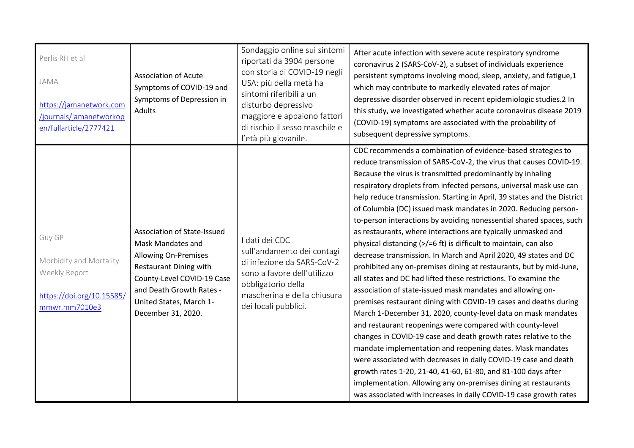| Perlis RH et al<br>JAMA<br>https://jamanetwork.com<br>/journals/jamanetworkop<br>en/fullarticle/2777421 | <b>Association of Acute</b><br>Symptoms of COVID-19 and<br>Symptoms of Depression in<br>Adults                                                                                                                              | Sondaggio online sui sintomi<br>riportati da 3904 persone<br>con storia di COVID-19 negli<br>USA: più della metà ha<br>sintomi riferibili a un<br>disturbo depressivo<br>maggiore e appaiono fattori<br>di rischio il sesso maschile e<br>l'età più giovanile. | After acute infection with severe acute respiratory syndrome<br>coronavirus 2 (SARS-CoV-2), a subset of individuals experience<br>persistent symptoms involving mood, sleep, anxiety, and fatigue,1<br>which may contribute to markedly elevated rates of major<br>depressive disorder observed in recent epidemiologic studies.2 In<br>this study, we investigated whether acute coronavirus disease 2019<br>(COVID-19) symptoms are associated with the probability of<br>subsequent depressive symptoms.                                                                                                                                                                                                                                                                                                                                                                                                                                                                                                                                                                                                                                                                                                                                                                                                                                                                                                                                                                                                              |
|---------------------------------------------------------------------------------------------------------|-----------------------------------------------------------------------------------------------------------------------------------------------------------------------------------------------------------------------------|----------------------------------------------------------------------------------------------------------------------------------------------------------------------------------------------------------------------------------------------------------------|--------------------------------------------------------------------------------------------------------------------------------------------------------------------------------------------------------------------------------------------------------------------------------------------------------------------------------------------------------------------------------------------------------------------------------------------------------------------------------------------------------------------------------------------------------------------------------------------------------------------------------------------------------------------------------------------------------------------------------------------------------------------------------------------------------------------------------------------------------------------------------------------------------------------------------------------------------------------------------------------------------------------------------------------------------------------------------------------------------------------------------------------------------------------------------------------------------------------------------------------------------------------------------------------------------------------------------------------------------------------------------------------------------------------------------------------------------------------------------------------------------------------------|
| Guy GP<br>Morbidity and Mortality<br>Weekly Report<br>https://doi.org/10.15585/<br>mmwr.mm7010e3        | Association of State-Issued<br>Mask Mandates and<br><b>Allowing On-Premises</b><br><b>Restaurant Dining with</b><br>County-Level COVID-19 Case<br>and Death Growth Rates -<br>United States, March 1-<br>December 31, 2020. | I dati dei CDC<br>sull'andamento dei contagi<br>di infezione da SARS-CoV-2<br>sono a favore dell'utilizzo<br>obbligatorio della<br>mascherina e della chiusura<br>dei locali pubblici.                                                                         | CDC recommends a combination of evidence-based strategies to<br>reduce transmission of SARS-CoV-2, the virus that causes COVID-19.<br>Because the virus is transmitted predominantly by inhaling<br>respiratory droplets from infected persons, universal mask use can<br>help reduce transmission. Starting in April, 39 states and the District<br>of Columbia (DC) issued mask mandates in 2020. Reducing person-<br>to-person interactions by avoiding nonessential shared spaces, such<br>as restaurants, where interactions are typically unmasked and<br>physical distancing (>/=6 ft) is difficult to maintain, can also<br>decrease transmission. In March and April 2020, 49 states and DC<br>prohibited any on-premises dining at restaurants, but by mid-June,<br>all states and DC had lifted these restrictions. To examine the<br>association of state-issued mask mandates and allowing on-<br>premises restaurant dining with COVID-19 cases and deaths during<br>March 1-December 31, 2020, county-level data on mask mandates<br>and restaurant reopenings were compared with county-level<br>changes in COVID-19 case and death growth rates relative to the<br>mandate implementation and reopening dates. Mask mandates<br>were associated with decreases in daily COVID-19 case and death<br>growth rates 1-20, 21-40, 41-60, 61-80, and 81-100 days after<br>implementation. Allowing any on-premises dining at restaurants<br>was associated with increases in daily COVID-19 case growth rates |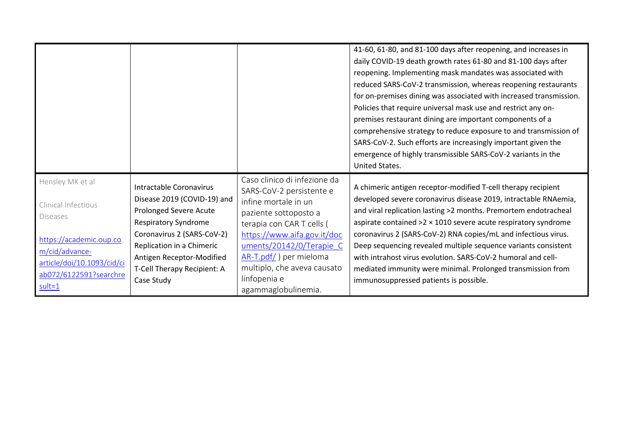|                                                                                                                                                                        |                                                                                                                                                                                                                                                      |                                                                                                                                                                                                                                                                                                     | 41-60, 61-80, and 81-100 days after reopening, and increases in<br>daily COVID-19 death growth rates 61-80 and 81-100 days after<br>reopening. Implementing mask mandates was associated with<br>reduced SARS-CoV-2 transmission, whereas reopening restaurants<br>for on-premises dining was associated with increased transmission.<br>Policies that require universal mask use and restrict any on-<br>premises restaurant dining are important components of a<br>comprehensive strategy to reduce exposure to and transmission of<br>SARS-CoV-2. Such efforts are increasingly important given the<br>emergence of highly transmissible SARS-CoV-2 variants in the<br>United States. |
|------------------------------------------------------------------------------------------------------------------------------------------------------------------------|------------------------------------------------------------------------------------------------------------------------------------------------------------------------------------------------------------------------------------------------------|-----------------------------------------------------------------------------------------------------------------------------------------------------------------------------------------------------------------------------------------------------------------------------------------------------|-------------------------------------------------------------------------------------------------------------------------------------------------------------------------------------------------------------------------------------------------------------------------------------------------------------------------------------------------------------------------------------------------------------------------------------------------------------------------------------------------------------------------------------------------------------------------------------------------------------------------------------------------------------------------------------------|
| Hensley MK et al<br>Clinical Infectious<br>Diseases<br>https://academic.oup.co<br>m/cid/advance-<br>article/doi/10.1093/cid/ci<br>ab072/6122591?searchre<br>$sult = 1$ | Intractable Coronavirus<br>Disease 2019 (COVID-19) and<br>Prolonged Severe Acute<br><b>Respiratory Syndrome</b><br>Coronavirus 2 (SARS-CoV-2)<br>Replication in a Chimeric<br>Antigen Receptor-Modified<br>T-Cell Therapy Recipient: A<br>Case Study | Caso clinico di infezione da<br>SARS-CoV-2 persistente e<br>infine mortale in un<br>paziente sottoposto a<br>terapia con CAR T cells (<br>https://www.aifa.gov.it/doc<br>uments/20142/0/Terapie C<br>$AR-T.pdf$ ) per mieloma<br>multiplo, che aveva causato<br>linfopenia e<br>agammaglobulinemia. | A chimeric antigen receptor-modified T-cell therapy recipient<br>developed severe coronavirus disease 2019, intractable RNAemia,<br>and viral replication lasting >2 months. Premortem endotracheal<br>aspirate contained $>2 \times 1010$ severe acute respiratory syndrome<br>coronavirus 2 (SARS-CoV-2) RNA copies/mL and infectious virus.<br>Deep sequencing revealed multiple sequence variants consistent<br>with intrahost virus evolution. SARS-CoV-2 humoral and cell-<br>mediated immunity were minimal. Prolonged transmission from<br>immunosuppressed patients is possible.                                                                                                 |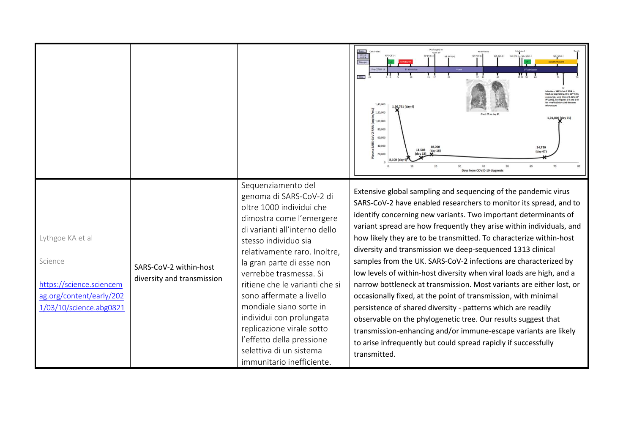|                                                                                                                |                                                      | Sequenziamento del                                                                                                                                                                                                                                                                                                                                                                                                                                                     | $\begin{array}{lll} \text{Intubated} & \\ \blacksquare & \\ \text{NP PCR} \left( + \right) & \text{lgA, lgG} \left( \cdot \right) \end{array}$<br>$\begin{bmatrix} \text{room as} \\ \text{NP } PCR\left(+\right) \end{bmatrix}$<br>NP PCR (+)<br><b>PERITA CONTROL</b><br>$\prod_{\alpha\in\alpha}$<br>Day<br>lous SARS-CoV-2 RNA is<br>st.). See Figures 1-II and 1-I<br>1.40.000<br>1,26,791 (day 4)<br>$\pm$ 1,20,000<br>1,01,800 (day 71)<br>1,00,000<br>80,000<br>60,000<br>40,000<br>14,720<br>11.508<br>(day 16)<br>$(\text{day } 67)$<br>20,000<br>20<br>40<br>Days from COVID-19 diagnosi                                                                                                                                                                                                                                                                                                                                                                                           |
|----------------------------------------------------------------------------------------------------------------|------------------------------------------------------|------------------------------------------------------------------------------------------------------------------------------------------------------------------------------------------------------------------------------------------------------------------------------------------------------------------------------------------------------------------------------------------------------------------------------------------------------------------------|-----------------------------------------------------------------------------------------------------------------------------------------------------------------------------------------------------------------------------------------------------------------------------------------------------------------------------------------------------------------------------------------------------------------------------------------------------------------------------------------------------------------------------------------------------------------------------------------------------------------------------------------------------------------------------------------------------------------------------------------------------------------------------------------------------------------------------------------------------------------------------------------------------------------------------------------------------------------------------------------------|
| Lythgoe KA et al<br>Science<br>https://science.sciencem<br>ag.org/content/early/202<br>1/03/10/science.abg0821 | SARS-CoV-2 within-host<br>diversity and transmission | genoma di SARS-CoV-2 di<br>oltre 1000 individui che<br>dimostra come l'emergere<br>di varianti all'interno dello<br>stesso individuo sia<br>relativamente raro. Inoltre,<br>la gran parte di esse non<br>verrebbe trasmessa. Si<br>ritiene che le varianti che si<br>sono affermate a livello<br>mondiale siano sorte in<br>individui con prolungata<br>replicazione virale sotto<br>l'effetto della pressione<br>selettiva di un sistema<br>immunitario inefficiente. | Extensive global sampling and sequencing of the pandemic virus<br>SARS-CoV-2 have enabled researchers to monitor its spread, and to<br>identify concerning new variants. Two important determinants of<br>variant spread are how frequently they arise within individuals, and<br>how likely they are to be transmitted. To characterize within-host<br>diversity and transmission we deep-sequenced 1313 clinical<br>samples from the UK. SARS-CoV-2 infections are characterized by<br>low levels of within-host diversity when viral loads are high, and a<br>narrow bottleneck at transmission. Most variants are either lost, or<br>occasionally fixed, at the point of transmission, with minimal<br>persistence of shared diversity - patterns which are readily<br>observable on the phylogenetic tree. Our results suggest that<br>transmission-enhancing and/or immune-escape variants are likely<br>to arise infrequently but could spread rapidly if successfully<br>transmitted. |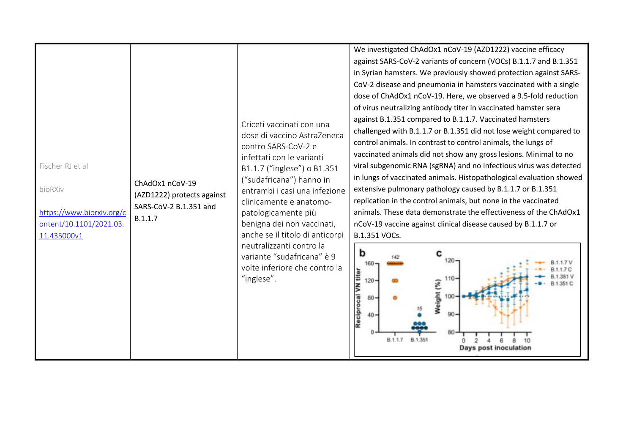| Fischer RJ et al<br>bioRXiv<br>https://www.biorxiv.org/c<br>ontent/10.1101/2021.03.<br>11.435000v1 | ChAdOx1 nCoV-19<br>(AZD1222) protects against<br>SARS-CoV-2 B.1.351 and<br>B.1.1.7 | Criceti vaccinati con una<br>dose di vaccino AstraZeneca<br>contro SARS-CoV-2 e<br>infettati con le varianti<br>B1.1.7 ("inglese") o B1.351<br>("sudafricana") hanno in<br>entrambi i casi una infezione<br>clinicamente e anatomo-<br>patologicamente più<br>benigna dei non vaccinati,<br>anche se il titolo di anticorpi<br>neutralizzanti contro la<br>variante "sudafricana" è 9<br>volte inferiore che contro la<br>"inglese". | We investigated ChAdOx1 nCoV-19 (AZD1222) vaccine efficacy<br>against SARS-CoV-2 variants of concern (VOCs) B.1.1.7 and B.1.351<br>in Syrian hamsters. We previously showed protection against SARS-<br>CoV-2 disease and pneumonia in hamsters vaccinated with a single<br>dose of ChAdOx1 nCoV-19. Here, we observed a 9.5-fold reduction<br>of virus neutralizing antibody titer in vaccinated hamster sera<br>against B.1.351 compared to B.1.1.7. Vaccinated hamsters<br>challenged with B.1.1.7 or B.1.351 did not lose weight compared to<br>control animals. In contrast to control animals, the lungs of<br>vaccinated animals did not show any gross lesions. Minimal to no<br>viral subgenomic RNA (sgRNA) and no infectious virus was detected<br>in lungs of vaccinated animals. Histopathological evaluation showed<br>extensive pulmonary pathology caused by B.1.1.7 or B.1.351<br>replication in the control animals, but none in the vaccinated<br>animals. These data demonstrate the effectiveness of the ChAdOx1<br>nCoV-19 vaccine against clinical disease caused by B.1.1.7 or<br>B.1.351 VOCs.<br>b<br>с<br>160<br>VN titer<br>110<br>120<br>Weight (%)<br>Reciprocal<br>80<br>90<br>40<br>80<br><b>B.1.351</b><br>8.1.1.7<br>Days post inoculation |
|----------------------------------------------------------------------------------------------------|------------------------------------------------------------------------------------|--------------------------------------------------------------------------------------------------------------------------------------------------------------------------------------------------------------------------------------------------------------------------------------------------------------------------------------------------------------------------------------------------------------------------------------|------------------------------------------------------------------------------------------------------------------------------------------------------------------------------------------------------------------------------------------------------------------------------------------------------------------------------------------------------------------------------------------------------------------------------------------------------------------------------------------------------------------------------------------------------------------------------------------------------------------------------------------------------------------------------------------------------------------------------------------------------------------------------------------------------------------------------------------------------------------------------------------------------------------------------------------------------------------------------------------------------------------------------------------------------------------------------------------------------------------------------------------------------------------------------------------------------------------------------------------------------------------------------|
|----------------------------------------------------------------------------------------------------|------------------------------------------------------------------------------------|--------------------------------------------------------------------------------------------------------------------------------------------------------------------------------------------------------------------------------------------------------------------------------------------------------------------------------------------------------------------------------------------------------------------------------------|------------------------------------------------------------------------------------------------------------------------------------------------------------------------------------------------------------------------------------------------------------------------------------------------------------------------------------------------------------------------------------------------------------------------------------------------------------------------------------------------------------------------------------------------------------------------------------------------------------------------------------------------------------------------------------------------------------------------------------------------------------------------------------------------------------------------------------------------------------------------------------------------------------------------------------------------------------------------------------------------------------------------------------------------------------------------------------------------------------------------------------------------------------------------------------------------------------------------------------------------------------------------------|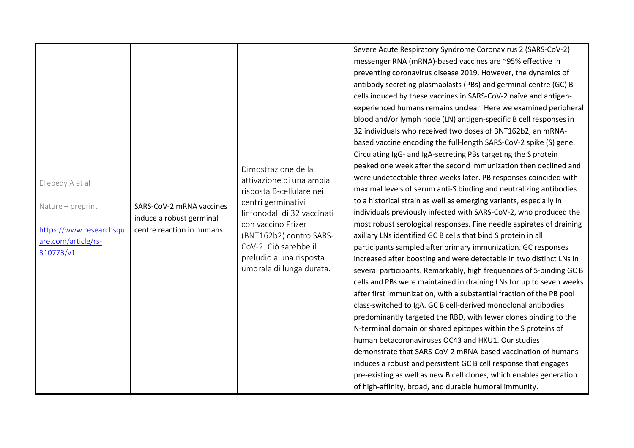|                         |                                                       |                             | Severe Acute Respiratory Syndrome Coronavirus 2 (SARS-CoV-2)         |
|-------------------------|-------------------------------------------------------|-----------------------------|----------------------------------------------------------------------|
|                         |                                                       |                             | messenger RNA (mRNA)-based vaccines are ~95% effective in            |
|                         |                                                       |                             | preventing coronavirus disease 2019. However, the dynamics of        |
|                         |                                                       |                             | antibody secreting plasmablasts (PBs) and germinal centre (GC) B     |
|                         |                                                       |                             | cells induced by these vaccines in SARS-CoV-2 naïve and antigen-     |
|                         |                                                       |                             | experienced humans remains unclear. Here we examined peripheral      |
|                         |                                                       |                             | blood and/or lymph node (LN) antigen-specific B cell responses in    |
|                         |                                                       |                             | 32 individuals who received two doses of BNT162b2, an mRNA-          |
|                         |                                                       |                             | based vaccine encoding the full-length SARS-CoV-2 spike (S) gene.    |
|                         |                                                       |                             | Circulating IgG- and IgA-secreting PBs targeting the S protein       |
|                         |                                                       | Dimostrazione della         | peaked one week after the second immunization then declined and      |
| Ellebedy A et al        |                                                       | attivazione di una ampia    | were undetectable three weeks later. PB responses coincided with     |
|                         |                                                       | risposta B-cellulare nei    | maximal levels of serum anti-S binding and neutralizing antibodies   |
| Nature - preprint       | SARS-CoV-2 mRNA vaccines                              | centri germinativi          | to a historical strain as well as emerging variants, especially in   |
|                         | induce a robust germinal<br>centre reaction in humans | linfonodali di 32 vaccinati | individuals previously infected with SARS-CoV-2, who produced the    |
| https://www.researchsqu |                                                       | con vaccino Pfizer          | most robust serological responses. Fine needle aspirates of draining |
| are.com/article/rs-     |                                                       | (BNT162b2) contro SARS-     | axillary LNs identified GC B cells that bind S protein in all        |
| 310773/v1               |                                                       | CoV-2. Ciò sarebbe il       | participants sampled after primary immunization. GC responses        |
|                         |                                                       | preludio a una risposta     | increased after boosting and were detectable in two distinct LNs in  |
|                         |                                                       | umorale di lunga durata.    | several participants. Remarkably, high frequencies of S-binding GC B |
|                         |                                                       |                             | cells and PBs were maintained in draining LNs for up to seven weeks  |
|                         |                                                       |                             | after first immunization, with a substantial fraction of the PB pool |
|                         |                                                       |                             | class-switched to IgA. GC B cell-derived monoclonal antibodies       |
|                         |                                                       |                             | predominantly targeted the RBD, with fewer clones binding to the     |
|                         |                                                       |                             | N-terminal domain or shared epitopes within the S proteins of        |
|                         |                                                       |                             | human betacoronaviruses OC43 and HKU1. Our studies                   |
|                         |                                                       |                             | demonstrate that SARS-CoV-2 mRNA-based vaccination of humans         |
|                         |                                                       |                             | induces a robust and persistent GC B cell response that engages      |
|                         |                                                       |                             | pre-existing as well as new B cell clones, which enables generation  |
|                         |                                                       |                             | of high-affinity, broad, and durable humoral immunity.               |